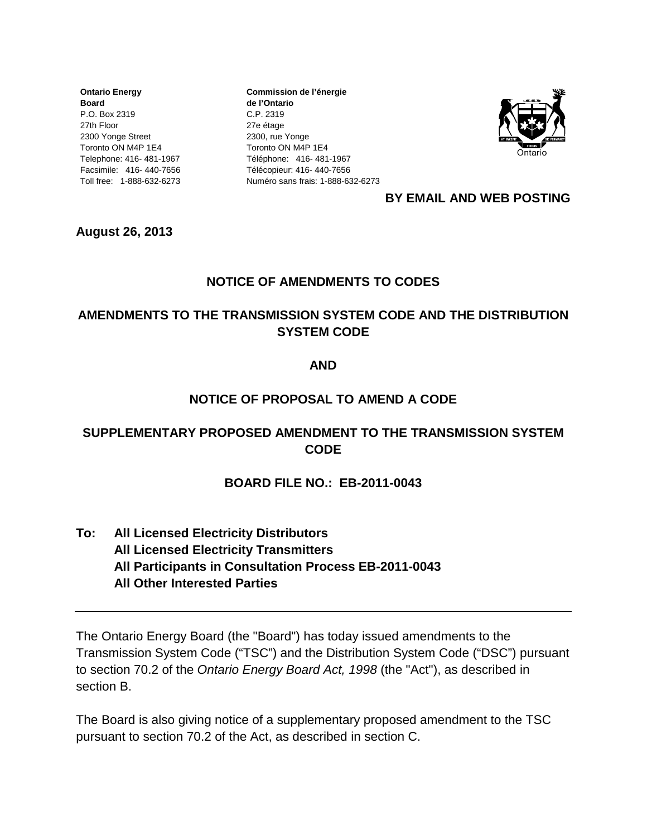**Ontario Energy Board** P.O. Box 2319 27th Floor 2300 Yonge Street Toronto ON M4P 1E4 Telephone: 416- 481-1967 Facsimile: 416- 440-7656 Toll free: 1-888-632-6273

**Commission de l'énergie de l'Ontario** C.P. 2319 27e étage 2300, rue Yonge Toronto ON M4P 1E4 Téléphone: 416- 481-1967 Télécopieur: 416- 440-7656 Numéro sans frais: 1-888-632-6273



#### **BY EMAIL AND WEB POSTING**

**August 26, 2013**

## **NOTICE OF AMENDMENTS TO CODES**

## **AMENDMENTS TO THE TRANSMISSION SYSTEM CODE AND THE DISTRIBUTION SYSTEM CODE**

#### **AND**

#### **NOTICE OF PROPOSAL TO AMEND A CODE**

## **SUPPLEMENTARY PROPOSED AMENDMENT TO THE TRANSMISSION SYSTEM CODE**

#### **BOARD FILE NO.: EB-2011-0043**

**To: All Licensed Electricity Distributors All Licensed Electricity Transmitters All Participants in Consultation Process EB-2011-0043 All Other Interested Parties**

The Ontario Energy Board (the "Board") has today issued amendments to the Transmission System Code ("TSC") and the Distribution System Code ("DSC") pursuant to section 70.2 of the *Ontario Energy Board Act, 1998* (the "Act"), as described in section B.

The Board is also giving notice of a supplementary proposed amendment to the TSC pursuant to section 70.2 of the Act, as described in section C.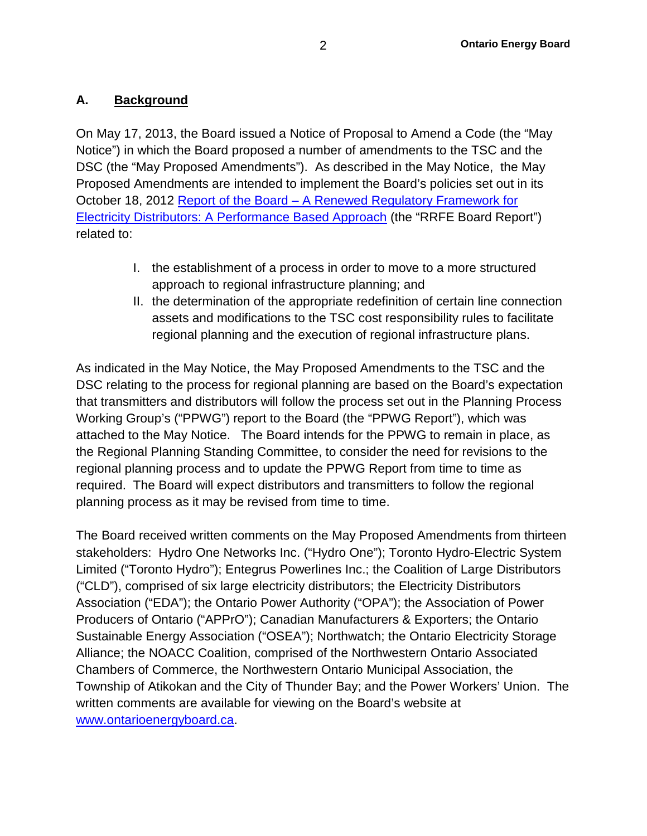## **A. Background**

On May 17, 2013, the Board issued a Notice of Proposal to Amend a Code (the "May Notice") in which the Board proposed a number of amendments to the TSC and the DSC (the "May Proposed Amendments"). As described in the May Notice, the May Proposed Amendments are intended to implement the Board's policies set out in its October 18, 2012 Report of the Board – [A Renewed Regulatory Framework for](http://www.ontarioenergyboard.ca/OEB/_Documents/Documents/Report_Renewed_Regulatory_Framework_RRFE_20121018.pdf)  [Electricity Distributors: A Performance Based Approach](http://www.ontarioenergyboard.ca/OEB/_Documents/Documents/Report_Renewed_Regulatory_Framework_RRFE_20121018.pdf) (the "RRFE Board Report") related to:

- I. the establishment of a process in order to move to a more structured approach to regional infrastructure planning; and
- II. the determination of the appropriate redefinition of certain line connection assets and modifications to the TSC cost responsibility rules to facilitate regional planning and the execution of regional infrastructure plans.

As indicated in the May Notice, the May Proposed Amendments to the TSC and the DSC relating to the process for regional planning are based on the Board's expectation that transmitters and distributors will follow the process set out in the Planning Process Working Group's ("PPWG") report to the Board (the "PPWG Report"), which was attached to the May Notice. The Board intends for the PPWG to remain in place, as the Regional Planning Standing Committee, to consider the need for revisions to the regional planning process and to update the PPWG Report from time to time as required. The Board will expect distributors and transmitters to follow the regional planning process as it may be revised from time to time.

The Board received written comments on the May Proposed Amendments from thirteen stakeholders: Hydro One Networks Inc. ("Hydro One"); Toronto Hydro-Electric System Limited ("Toronto Hydro"); Entegrus Powerlines Inc.; the Coalition of Large Distributors ("CLD"), comprised of six large electricity distributors; the Electricity Distributors Association ("EDA"); the Ontario Power Authority ("OPA"); the Association of Power Producers of Ontario ("APPrO"); Canadian Manufacturers & Exporters; the Ontario Sustainable Energy Association ("OSEA"); Northwatch; the Ontario Electricity Storage Alliance; the NOACC Coalition, comprised of the Northwestern Ontario Associated Chambers of Commerce, the Northwestern Ontario Municipal Association, the Township of Atikokan and the City of Thunder Bay; and the Power Workers' Union. The written comments are available for viewing on the Board's website at [www.ontarioenergyboard.ca.](http://www.ontarioenergyboard.ca/)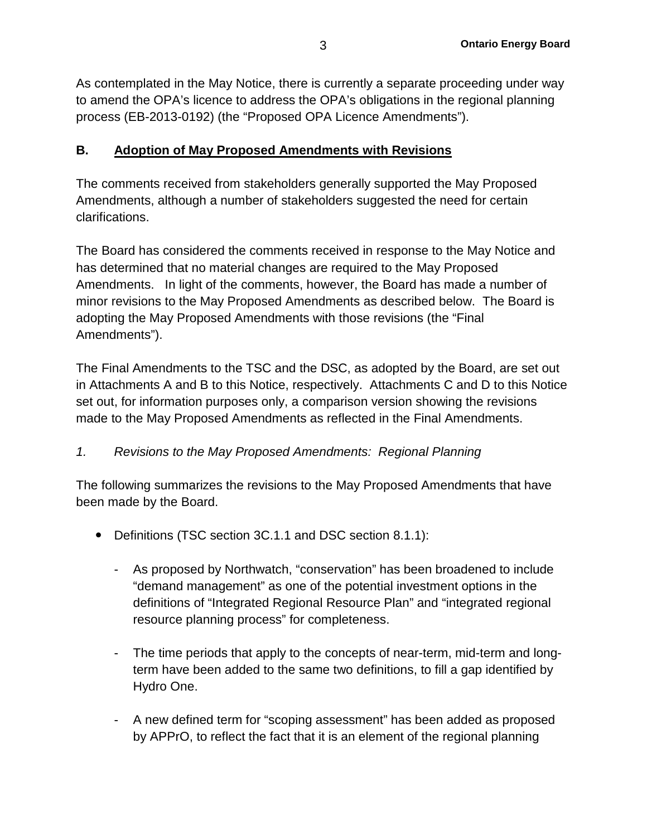As contemplated in the May Notice, there is currently a separate proceeding under way to amend the OPA's licence to address the OPA's obligations in the regional planning process (EB-2013-0192) (the "Proposed OPA Licence Amendments").

## **B. Adoption of May Proposed Amendments with Revisions**

The comments received from stakeholders generally supported the May Proposed Amendments, although a number of stakeholders suggested the need for certain clarifications.

The Board has considered the comments received in response to the May Notice and has determined that no material changes are required to the May Proposed Amendments. In light of the comments, however, the Board has made a number of minor revisions to the May Proposed Amendments as described below. The Board is adopting the May Proposed Amendments with those revisions (the "Final Amendments").

The Final Amendments to the TSC and the DSC, as adopted by the Board, are set out in Attachments A and B to this Notice, respectively. Attachments C and D to this Notice set out, for information purposes only, a comparison version showing the revisions made to the May Proposed Amendments as reflected in the Final Amendments.

## *1. Revisions to the May Proposed Amendments: Regional Planning*

The following summarizes the revisions to the May Proposed Amendments that have been made by the Board.

- Definitions (TSC section 3C.1.1 and DSC section 8.1.1):
	- As proposed by Northwatch, "conservation" has been broadened to include "demand management" as one of the potential investment options in the definitions of "Integrated Regional Resource Plan" and "integrated regional resource planning process" for completeness.
	- The time periods that apply to the concepts of near-term, mid-term and longterm have been added to the same two definitions, to fill a gap identified by Hydro One.
	- A new defined term for "scoping assessment" has been added as proposed by APPrO, to reflect the fact that it is an element of the regional planning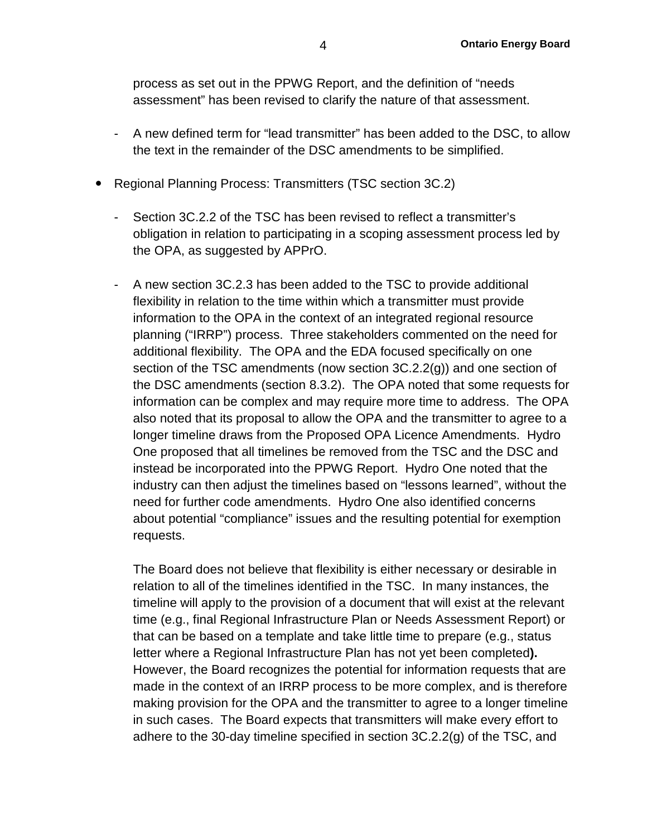process as set out in the PPWG Report, and the definition of "needs assessment" has been revised to clarify the nature of that assessment.

- A new defined term for "lead transmitter" has been added to the DSC, to allow the text in the remainder of the DSC amendments to be simplified.
- Regional Planning Process: Transmitters (TSC section 3C.2)
	- Section 3C.2.2 of the TSC has been revised to reflect a transmitter's obligation in relation to participating in a scoping assessment process led by the OPA, as suggested by APPrO.
	- A new section 3C.2.3 has been added to the TSC to provide additional flexibility in relation to the time within which a transmitter must provide information to the OPA in the context of an integrated regional resource planning ("IRRP") process. Three stakeholders commented on the need for additional flexibility. The OPA and the EDA focused specifically on one section of the TSC amendments (now section 3C.2.2(g)) and one section of the DSC amendments (section 8.3.2). The OPA noted that some requests for information can be complex and may require more time to address. The OPA also noted that its proposal to allow the OPA and the transmitter to agree to a longer timeline draws from the Proposed OPA Licence Amendments. Hydro One proposed that all timelines be removed from the TSC and the DSC and instead be incorporated into the PPWG Report. Hydro One noted that the industry can then adjust the timelines based on "lessons learned", without the need for further code amendments. Hydro One also identified concerns about potential "compliance" issues and the resulting potential for exemption requests.

The Board does not believe that flexibility is either necessary or desirable in relation to all of the timelines identified in the TSC. In many instances, the timeline will apply to the provision of a document that will exist at the relevant time (e.g., final Regional Infrastructure Plan or Needs Assessment Report) or that can be based on a template and take little time to prepare (e.g., status letter where a Regional Infrastructure Plan has not yet been completed**).**  However, the Board recognizes the potential for information requests that are made in the context of an IRRP process to be more complex, and is therefore making provision for the OPA and the transmitter to agree to a longer timeline in such cases. The Board expects that transmitters will make every effort to adhere to the 30-day timeline specified in section 3C.2.2(g) of the TSC, and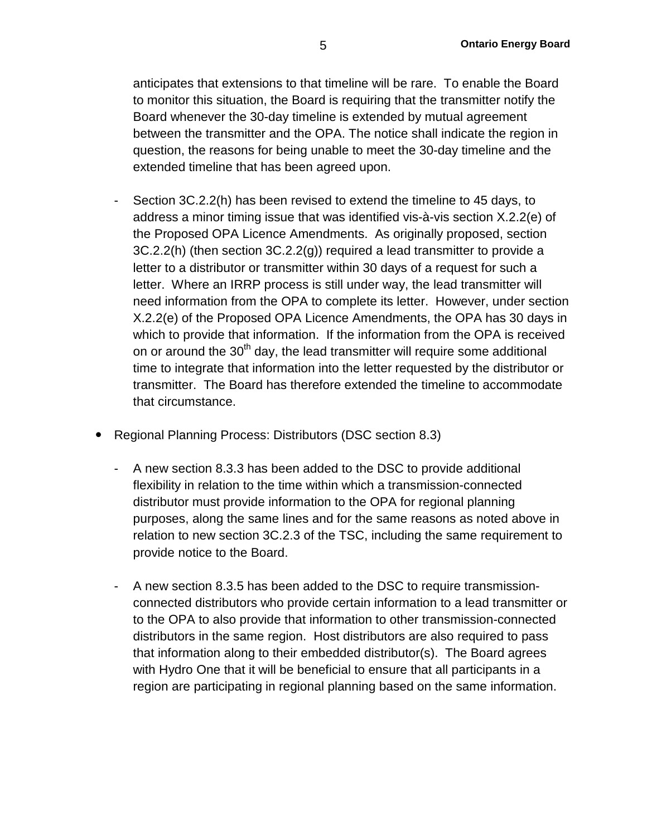anticipates that extensions to that timeline will be rare. To enable the Board to monitor this situation, the Board is requiring that the transmitter notify the Board whenever the 30-day timeline is extended by mutual agreement between the transmitter and the OPA. The notice shall indicate the region in question, the reasons for being unable to meet the 30-day timeline and the extended timeline that has been agreed upon.

- Section 3C.2.2(h) has been revised to extend the timeline to 45 days, to address a minor timing issue that was identified vis-à-vis section X.2.2(e) of the Proposed OPA Licence Amendments. As originally proposed, section 3C.2.2(h) (then section 3C.2.2(g)) required a lead transmitter to provide a letter to a distributor or transmitter within 30 days of a request for such a letter. Where an IRRP process is still under way, the lead transmitter will need information from the OPA to complete its letter. However, under section X.2.2(e) of the Proposed OPA Licence Amendments, the OPA has 30 days in which to provide that information. If the information from the OPA is received on or around the  $30<sup>th</sup>$  day, the lead transmitter will require some additional time to integrate that information into the letter requested by the distributor or transmitter. The Board has therefore extended the timeline to accommodate that circumstance.
- Regional Planning Process: Distributors (DSC section 8.3)
	- A new section 8.3.3 has been added to the DSC to provide additional flexibility in relation to the time within which a transmission-connected distributor must provide information to the OPA for regional planning purposes, along the same lines and for the same reasons as noted above in relation to new section 3C.2.3 of the TSC, including the same requirement to provide notice to the Board.
	- A new section 8.3.5 has been added to the DSC to require transmissionconnected distributors who provide certain information to a lead transmitter or to the OPA to also provide that information to other transmission-connected distributors in the same region. Host distributors are also required to pass that information along to their embedded distributor(s). The Board agrees with Hydro One that it will be beneficial to ensure that all participants in a region are participating in regional planning based on the same information.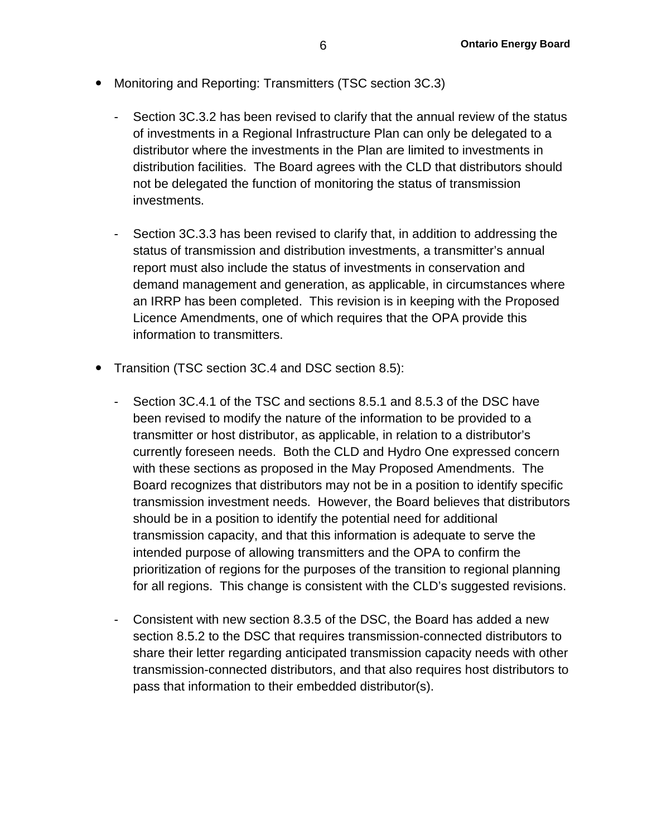- Monitoring and Reporting: Transmitters (TSC section 3C.3)
	- Section 3C.3.2 has been revised to clarify that the annual review of the status of investments in a Regional Infrastructure Plan can only be delegated to a distributor where the investments in the Plan are limited to investments in distribution facilities. The Board agrees with the CLD that distributors should not be delegated the function of monitoring the status of transmission investments.
	- Section 3C.3.3 has been revised to clarify that, in addition to addressing the status of transmission and distribution investments, a transmitter's annual report must also include the status of investments in conservation and demand management and generation, as applicable, in circumstances where an IRRP has been completed. This revision is in keeping with the Proposed Licence Amendments, one of which requires that the OPA provide this information to transmitters.
- Transition (TSC section 3C.4 and DSC section 8.5):
	- Section 3C.4.1 of the TSC and sections 8.5.1 and 8.5.3 of the DSC have been revised to modify the nature of the information to be provided to a transmitter or host distributor, as applicable, in relation to a distributor's currently foreseen needs. Both the CLD and Hydro One expressed concern with these sections as proposed in the May Proposed Amendments. The Board recognizes that distributors may not be in a position to identify specific transmission investment needs. However, the Board believes that distributors should be in a position to identify the potential need for additional transmission capacity, and that this information is adequate to serve the intended purpose of allowing transmitters and the OPA to confirm the prioritization of regions for the purposes of the transition to regional planning for all regions. This change is consistent with the CLD's suggested revisions.
	- Consistent with new section 8.3.5 of the DSC, the Board has added a new section 8.5.2 to the DSC that requires transmission-connected distributors to share their letter regarding anticipated transmission capacity needs with other transmission-connected distributors, and that also requires host distributors to pass that information to their embedded distributor(s).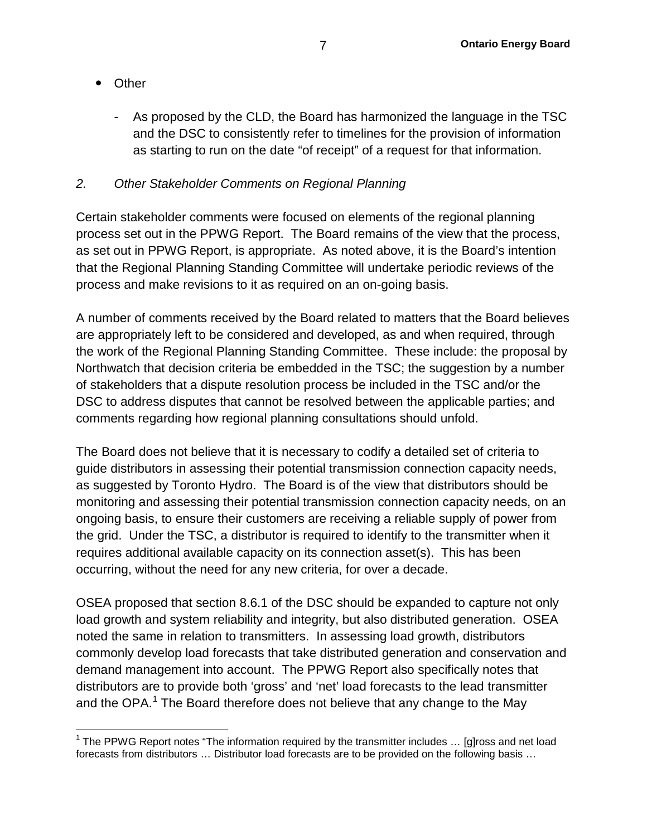- Other
	- As proposed by the CLD, the Board has harmonized the language in the TSC and the DSC to consistently refer to timelines for the provision of information as starting to run on the date "of receipt" of a request for that information.

## *2. Other Stakeholder Comments on Regional Planning*

Certain stakeholder comments were focused on elements of the regional planning process set out in the PPWG Report. The Board remains of the view that the process, as set out in PPWG Report, is appropriate. As noted above, it is the Board's intention that the Regional Planning Standing Committee will undertake periodic reviews of the process and make revisions to it as required on an on-going basis.

A number of comments received by the Board related to matters that the Board believes are appropriately left to be considered and developed, as and when required, through the work of the Regional Planning Standing Committee. These include: the proposal by Northwatch that decision criteria be embedded in the TSC; the suggestion by a number of stakeholders that a dispute resolution process be included in the TSC and/or the DSC to address disputes that cannot be resolved between the applicable parties; and comments regarding how regional planning consultations should unfold.

The Board does not believe that it is necessary to codify a detailed set of criteria to guide distributors in assessing their potential transmission connection capacity needs, as suggested by Toronto Hydro. The Board is of the view that distributors should be monitoring and assessing their potential transmission connection capacity needs, on an ongoing basis, to ensure their customers are receiving a reliable supply of power from the grid. Under the TSC, a distributor is required to identify to the transmitter when it requires additional available capacity on its connection asset(s). This has been occurring, without the need for any new criteria, for over a decade.

OSEA proposed that section 8.6.1 of the DSC should be expanded to capture not only load growth and system reliability and integrity, but also distributed generation. OSEA noted the same in relation to transmitters. In assessing load growth, distributors commonly develop load forecasts that take distributed generation and conservation and demand management into account. The PPWG Report also specifically notes that distributors are to provide both 'gross' and 'net' load forecasts to the lead transmitter and the OPA.<sup>[1](#page-6-0)</sup> The Board therefore does not believe that any change to the May

<span id="page-6-0"></span> $1$  The PPWG Report notes "The information required by the transmitter includes  $\ldots$  [g]ross and net load forecasts from distributors … Distributor load forecasts are to be provided on the following basis …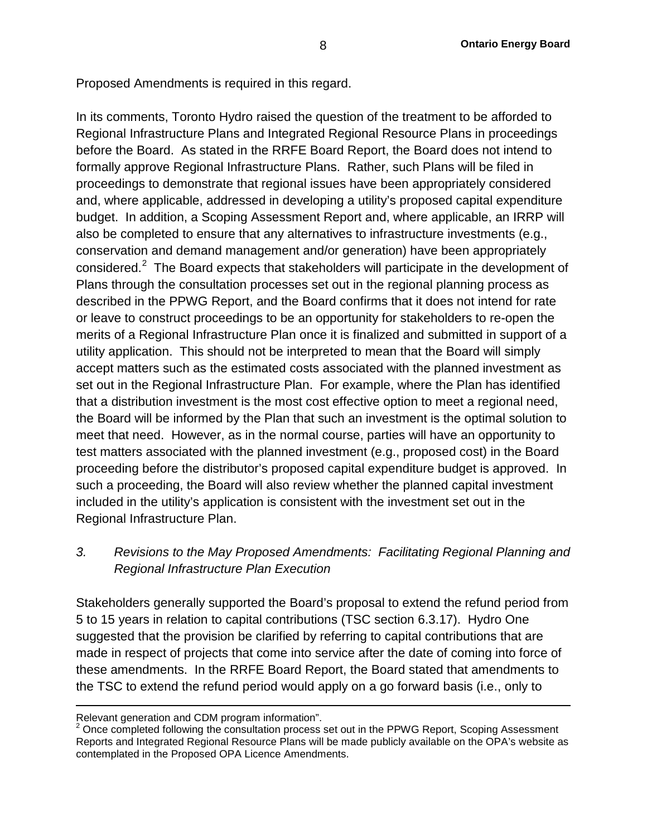Proposed Amendments is required in this regard.

In its comments, Toronto Hydro raised the question of the treatment to be afforded to Regional Infrastructure Plans and Integrated Regional Resource Plans in proceedings before the Board. As stated in the RRFE Board Report, the Board does not intend to formally approve Regional Infrastructure Plans. Rather, such Plans will be filed in proceedings to demonstrate that regional issues have been appropriately considered and, where applicable, addressed in developing a utility's proposed capital expenditure budget. In addition, a Scoping Assessment Report and, where applicable, an IRRP will also be completed to ensure that any alternatives to infrastructure investments (e.g., conservation and demand management and/or generation) have been appropriately considered.<sup>[2](#page-7-0)</sup> The Board expects that stakeholders will participate in the development of Plans through the consultation processes set out in the regional planning process as described in the PPWG Report, and the Board confirms that it does not intend for rate or leave to construct proceedings to be an opportunity for stakeholders to re-open the merits of a Regional Infrastructure Plan once it is finalized and submitted in support of a utility application. This should not be interpreted to mean that the Board will simply accept matters such as the estimated costs associated with the planned investment as set out in the Regional Infrastructure Plan. For example, where the Plan has identified that a distribution investment is the most cost effective option to meet a regional need, the Board will be informed by the Plan that such an investment is the optimal solution to meet that need. However, as in the normal course, parties will have an opportunity to test matters associated with the planned investment (e.g., proposed cost) in the Board proceeding before the distributor's proposed capital expenditure budget is approved. In such a proceeding, the Board will also review whether the planned capital investment included in the utility's application is consistent with the investment set out in the Regional Infrastructure Plan.

## *3. Revisions to the May Proposed Amendments: Facilitating Regional Planning and Regional Infrastructure Plan Execution*

Stakeholders generally supported the Board's proposal to extend the refund period from 5 to 15 years in relation to capital contributions (TSC section 6.3.17). Hydro One suggested that the provision be clarified by referring to capital contributions that are made in respect of projects that come into service after the date of coming into force of these amendments. In the RRFE Board Report, the Board stated that amendments to the TSC to extend the refund period would apply on a go forward basis (i.e., only to

 $\overline{a}$ 

<span id="page-7-0"></span>Relevant generation and CDM program information".<br><sup>2</sup> Once completed following the consultation process set out in the PPWG Report, Scoping Assessment Reports and Integrated Regional Resource Plans will be made publicly available on the OPA's website as contemplated in the Proposed OPA Licence Amendments.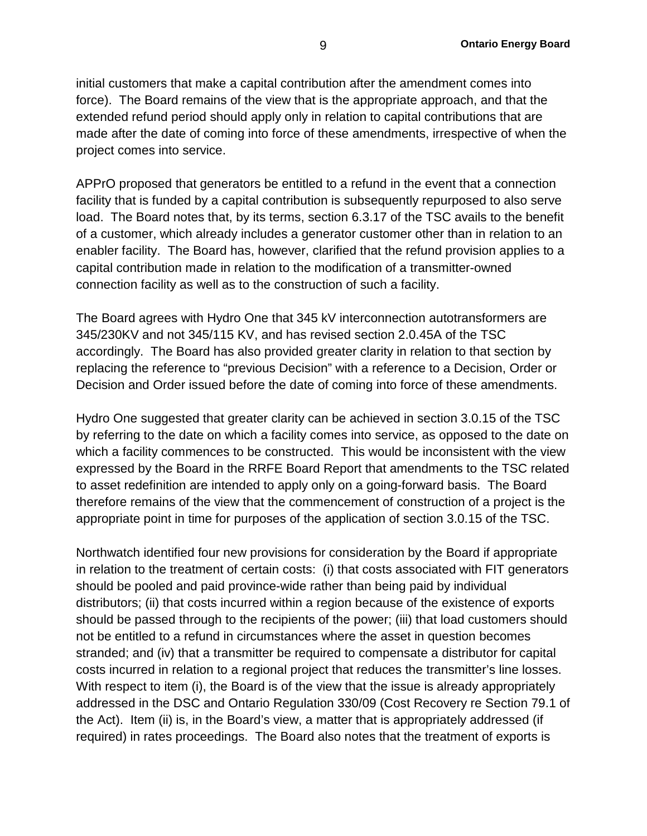initial customers that make a capital contribution after the amendment comes into force). The Board remains of the view that is the appropriate approach, and that the extended refund period should apply only in relation to capital contributions that are made after the date of coming into force of these amendments, irrespective of when the project comes into service.

APPrO proposed that generators be entitled to a refund in the event that a connection facility that is funded by a capital contribution is subsequently repurposed to also serve load. The Board notes that, by its terms, section 6.3.17 of the TSC avails to the benefit of a customer, which already includes a generator customer other than in relation to an enabler facility. The Board has, however, clarified that the refund provision applies to a capital contribution made in relation to the modification of a transmitter-owned connection facility as well as to the construction of such a facility.

The Board agrees with Hydro One that 345 kV interconnection autotransformers are 345/230KV and not 345/115 KV, and has revised section 2.0.45A of the TSC accordingly. The Board has also provided greater clarity in relation to that section by replacing the reference to "previous Decision" with a reference to a Decision, Order or Decision and Order issued before the date of coming into force of these amendments.

Hydro One suggested that greater clarity can be achieved in section 3.0.15 of the TSC by referring to the date on which a facility comes into service, as opposed to the date on which a facility commences to be constructed. This would be inconsistent with the view expressed by the Board in the RRFE Board Report that amendments to the TSC related to asset redefinition are intended to apply only on a going-forward basis. The Board therefore remains of the view that the commencement of construction of a project is the appropriate point in time for purposes of the application of section 3.0.15 of the TSC.

Northwatch identified four new provisions for consideration by the Board if appropriate in relation to the treatment of certain costs: (i) that costs associated with FIT generators should be pooled and paid province-wide rather than being paid by individual distributors; (ii) that costs incurred within a region because of the existence of exports should be passed through to the recipients of the power; (iii) that load customers should not be entitled to a refund in circumstances where the asset in question becomes stranded; and (iv) that a transmitter be required to compensate a distributor for capital costs incurred in relation to a regional project that reduces the transmitter's line losses. With respect to item (i), the Board is of the view that the issue is already appropriately addressed in the DSC and Ontario Regulation 330/09 (Cost Recovery re Section 79.1 of the Act). Item (ii) is, in the Board's view, a matter that is appropriately addressed (if required) in rates proceedings. The Board also notes that the treatment of exports is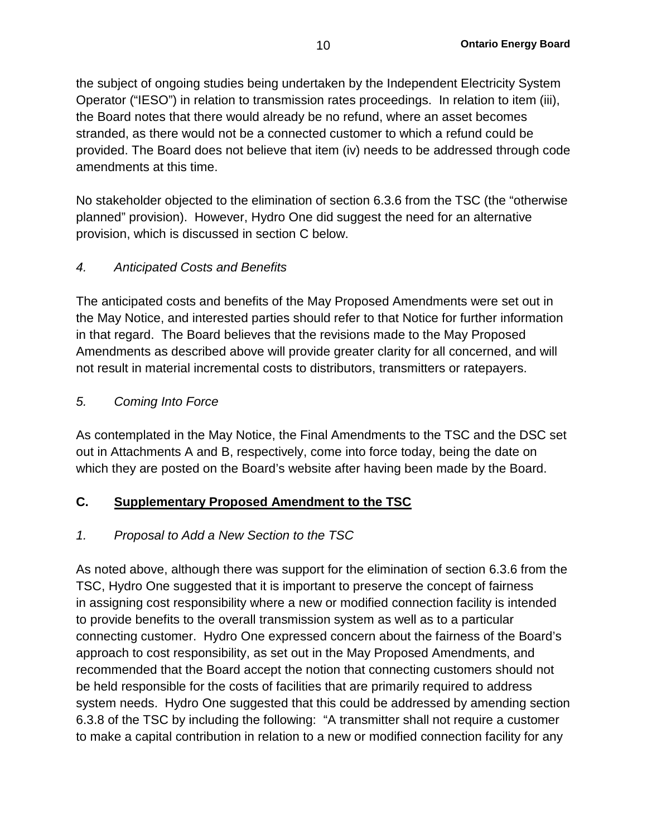the subject of ongoing studies being undertaken by the Independent Electricity System Operator ("IESO") in relation to transmission rates proceedings. In relation to item (iii), the Board notes that there would already be no refund, where an asset becomes stranded, as there would not be a connected customer to which a refund could be provided. The Board does not believe that item (iv) needs to be addressed through code amendments at this time.

No stakeholder objected to the elimination of section 6.3.6 from the TSC (the "otherwise planned" provision). However, Hydro One did suggest the need for an alternative provision, which is discussed in section C below.

## *4. Anticipated Costs and Benefits*

The anticipated costs and benefits of the May Proposed Amendments were set out in the May Notice, and interested parties should refer to that Notice for further information in that regard. The Board believes that the revisions made to the May Proposed Amendments as described above will provide greater clarity for all concerned, and will not result in material incremental costs to distributors, transmitters or ratepayers.

## *5. Coming Into Force*

As contemplated in the May Notice, the Final Amendments to the TSC and the DSC set out in Attachments A and B, respectively, come into force today, being the date on which they are posted on the Board's website after having been made by the Board.

## **C. Supplementary Proposed Amendment to the TSC**

## *1. Proposal to Add a New Section to the TSC*

As noted above, although there was support for the elimination of section 6.3.6 from the TSC, Hydro One suggested that it is important to preserve the concept of fairness in assigning cost responsibility where a new or modified connection facility is intended to provide benefits to the overall transmission system as well as to a particular connecting customer. Hydro One expressed concern about the fairness of the Board's approach to cost responsibility, as set out in the May Proposed Amendments, and recommended that the Board accept the notion that connecting customers should not be held responsible for the costs of facilities that are primarily required to address system needs. Hydro One suggested that this could be addressed by amending section 6.3.8 of the TSC by including the following: "A transmitter shall not require a customer to make a capital contribution in relation to a new or modified connection facility for any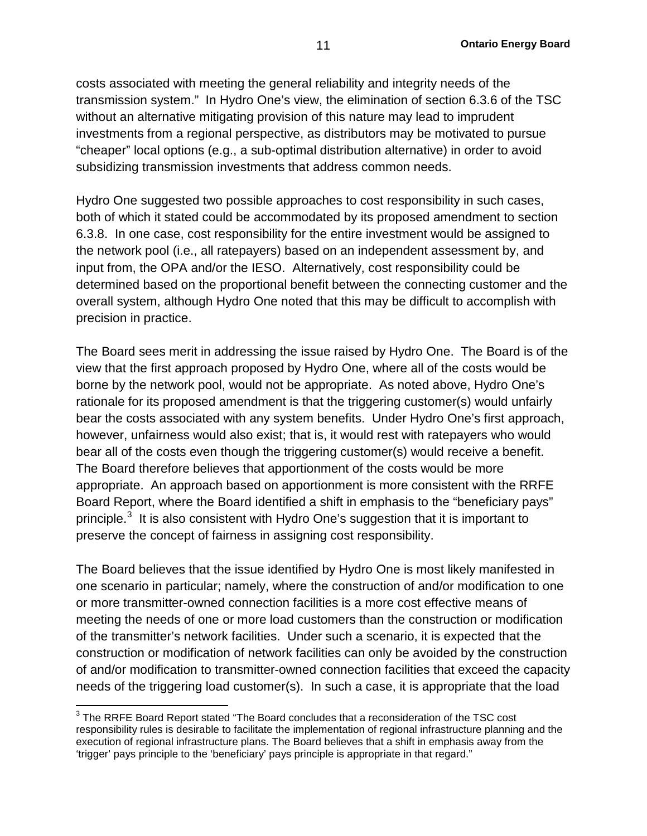costs associated with meeting the general reliability and integrity needs of the transmission system." In Hydro One's view, the elimination of section 6.3.6 of the TSC without an alternative mitigating provision of this nature may lead to imprudent investments from a regional perspective, as distributors may be motivated to pursue "cheaper" local options (e.g., a sub-optimal distribution alternative) in order to avoid subsidizing transmission investments that address common needs.

Hydro One suggested two possible approaches to cost responsibility in such cases, both of which it stated could be accommodated by its proposed amendment to section 6.3.8. In one case, cost responsibility for the entire investment would be assigned to the network pool (i.e., all ratepayers) based on an independent assessment by, and input from, the OPA and/or the IESO. Alternatively, cost responsibility could be determined based on the proportional benefit between the connecting customer and the overall system, although Hydro One noted that this may be difficult to accomplish with precision in practice.

The Board sees merit in addressing the issue raised by Hydro One. The Board is of the view that the first approach proposed by Hydro One, where all of the costs would be borne by the network pool, would not be appropriate. As noted above, Hydro One's rationale for its proposed amendment is that the triggering customer(s) would unfairly bear the costs associated with any system benefits. Under Hydro One's first approach, however, unfairness would also exist; that is, it would rest with ratepayers who would bear all of the costs even though the triggering customer(s) would receive a benefit. The Board therefore believes that apportionment of the costs would be more appropriate. An approach based on apportionment is more consistent with the RRFE Board Report, where the Board identified a shift in emphasis to the "beneficiary pays" principle. $^3\,$  $^3\,$  $^3\,$  It is also consistent with Hydro One's suggestion that it is important to preserve the concept of fairness in assigning cost responsibility.

The Board believes that the issue identified by Hydro One is most likely manifested in one scenario in particular; namely, where the construction of and/or modification to one or more transmitter-owned connection facilities is a more cost effective means of meeting the needs of one or more load customers than the construction or modification of the transmitter's network facilities. Under such a scenario, it is expected that the construction or modification of network facilities can only be avoided by the construction of and/or modification to transmitter-owned connection facilities that exceed the capacity needs of the triggering load customer(s). In such a case, it is appropriate that the load

<span id="page-10-0"></span> $3$  The RRFE Board Report stated "The Board concludes that a reconsideration of the TSC cost responsibility rules is desirable to facilitate the implementation of regional infrastructure planning and the execution of regional infrastructure plans. The Board believes that a shift in emphasis away from the 'trigger' pays principle to the 'beneficiary' pays principle is appropriate in that regard."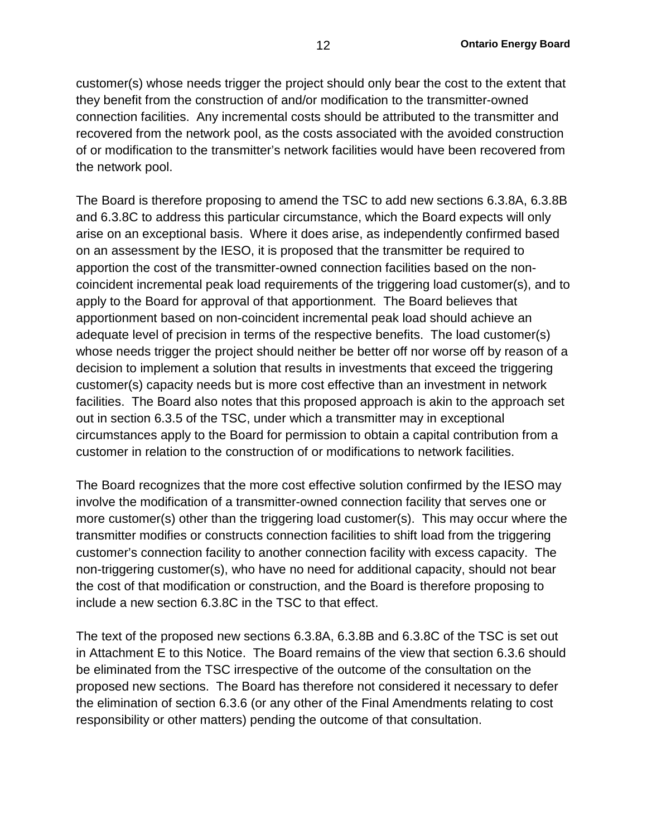customer(s) whose needs trigger the project should only bear the cost to the extent that they benefit from the construction of and/or modification to the transmitter-owned connection facilities. Any incremental costs should be attributed to the transmitter and recovered from the network pool, as the costs associated with the avoided construction of or modification to the transmitter's network facilities would have been recovered from the network pool.

The Board is therefore proposing to amend the TSC to add new sections 6.3.8A, 6.3.8B and 6.3.8C to address this particular circumstance, which the Board expects will only arise on an exceptional basis. Where it does arise, as independently confirmed based on an assessment by the IESO, it is proposed that the transmitter be required to apportion the cost of the transmitter-owned connection facilities based on the noncoincident incremental peak load requirements of the triggering load customer(s), and to apply to the Board for approval of that apportionment. The Board believes that apportionment based on non-coincident incremental peak load should achieve an adequate level of precision in terms of the respective benefits. The load customer(s) whose needs trigger the project should neither be better off nor worse off by reason of a decision to implement a solution that results in investments that exceed the triggering customer(s) capacity needs but is more cost effective than an investment in network facilities. The Board also notes that this proposed approach is akin to the approach set out in section 6.3.5 of the TSC, under which a transmitter may in exceptional circumstances apply to the Board for permission to obtain a capital contribution from a customer in relation to the construction of or modifications to network facilities.

The Board recognizes that the more cost effective solution confirmed by the IESO may involve the modification of a transmitter-owned connection facility that serves one or more customer(s) other than the triggering load customer(s). This may occur where the transmitter modifies or constructs connection facilities to shift load from the triggering customer's connection facility to another connection facility with excess capacity. The non-triggering customer(s), who have no need for additional capacity, should not bear the cost of that modification or construction, and the Board is therefore proposing to include a new section 6.3.8C in the TSC to that effect.

The text of the proposed new sections 6.3.8A, 6.3.8B and 6.3.8C of the TSC is set out in Attachment E to this Notice. The Board remains of the view that section 6.3.6 should be eliminated from the TSC irrespective of the outcome of the consultation on the proposed new sections. The Board has therefore not considered it necessary to defer the elimination of section 6.3.6 (or any other of the Final Amendments relating to cost responsibility or other matters) pending the outcome of that consultation.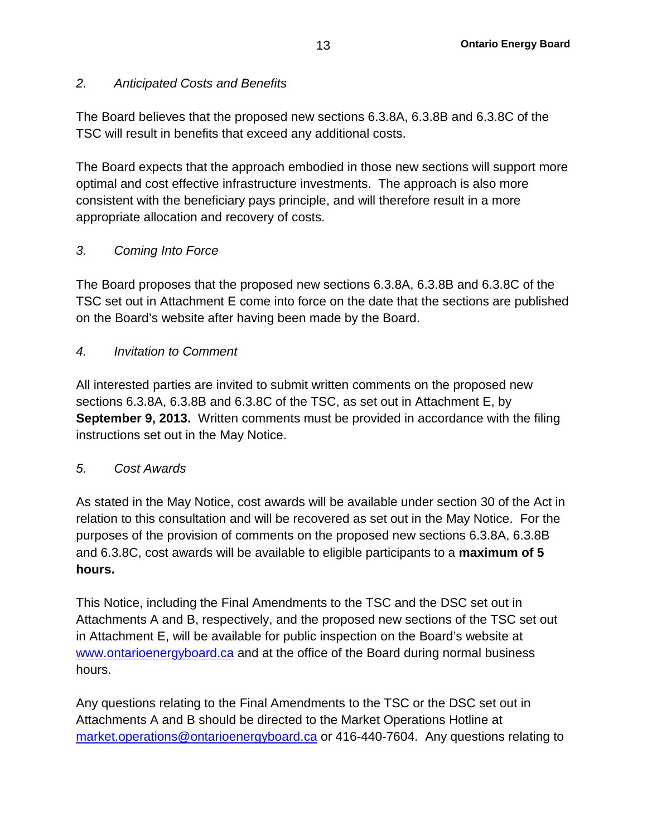## *2. Anticipated Costs and Benefits*

The Board believes that the proposed new sections 6.3.8A, 6.3.8B and 6.3.8C of the TSC will result in benefits that exceed any additional costs.

The Board expects that the approach embodied in those new sections will support more optimal and cost effective infrastructure investments. The approach is also more consistent with the beneficiary pays principle, and will therefore result in a more appropriate allocation and recovery of costs.

## *3. Coming Into Force*

The Board proposes that the proposed new sections 6.3.8A, 6.3.8B and 6.3.8C of the TSC set out in Attachment E come into force on the date that the sections are published on the Board's website after having been made by the Board.

### *4. Invitation to Comment*

All interested parties are invited to submit written comments on the proposed new sections 6.3.8A, 6.3.8B and 6.3.8C of the TSC, as set out in Attachment E, by **September 9, 2013.** Written comments must be provided in accordance with the filing instructions set out in the May Notice.

## *5. Cost Awards*

As stated in the May Notice, cost awards will be available under section 30 of the Act in relation to this consultation and will be recovered as set out in the May Notice. For the purposes of the provision of comments on the proposed new sections 6.3.8A, 6.3.8B and 6.3.8C, cost awards will be available to eligible participants to a **maximum of 5 hours.** 

This Notice, including the Final Amendments to the TSC and the DSC set out in Attachments A and B, respectively, and the proposed new sections of the TSC set out in Attachment E, will be available for public inspection on the Board's website at [www.ontarioenergyboard.ca](http://www.ontarioenergyboard.ca/) and at the office of the Board during normal business hours.

Any questions relating to the Final Amendments to the TSC or the DSC set out in Attachments A and B should be directed to the Market Operations Hotline at [market.operations@ontarioenergyboard.ca](mailto:%20market.operations@ontarioenergyboard.ca) or 416-440-7604. Any questions relating to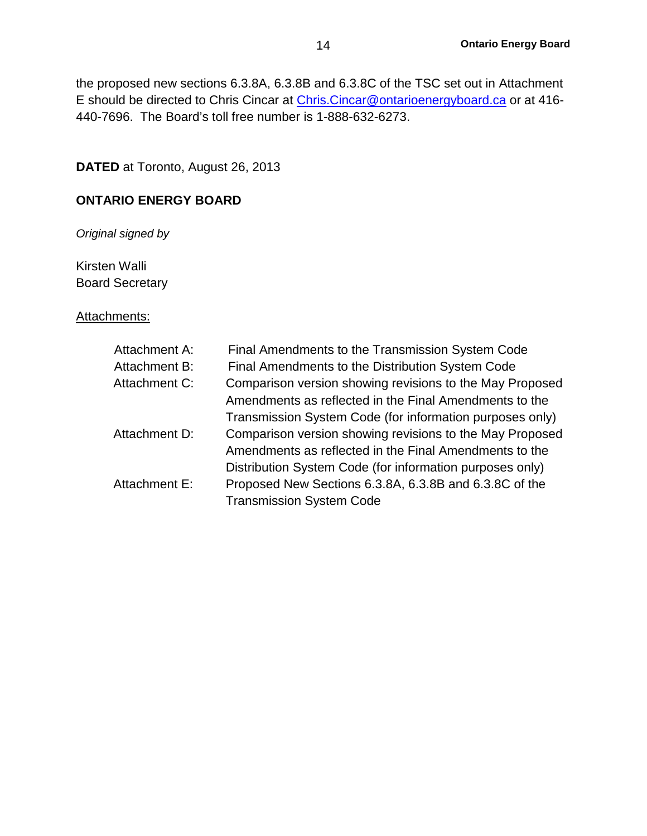the proposed new sections 6.3.8A, 6.3.8B and 6.3.8C of the TSC set out in Attachment E should be directed to Chris Cincar at [Chris.Cincar@ontarioenergyboard.ca](mailto:Chris.Cincar@ontarioenergyboard.ca) or at 416- 440-7696. The Board's toll free number is 1-888-632-6273.

**DATED** at Toronto, August 26, 2013

## **ONTARIO ENERGY BOARD**

*Original signed by*

Kirsten Walli Board Secretary

#### Attachments:

| Attachment A: | Final Amendments to the Transmission System Code         |
|---------------|----------------------------------------------------------|
| Attachment B: | Final Amendments to the Distribution System Code         |
| Attachment C: | Comparison version showing revisions to the May Proposed |
|               | Amendments as reflected in the Final Amendments to the   |
|               | Transmission System Code (for information purposes only) |
| Attachment D: | Comparison version showing revisions to the May Proposed |
|               | Amendments as reflected in the Final Amendments to the   |
|               | Distribution System Code (for information purposes only) |
| Attachment E: | Proposed New Sections 6.3.8A, 6.3.8B and 6.3.8C of the   |
|               | <b>Transmission System Code</b>                          |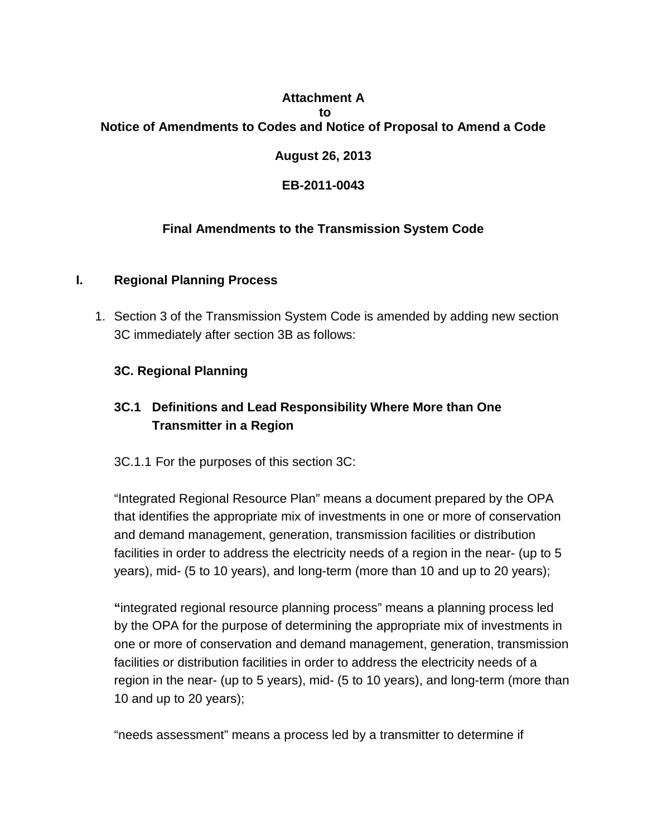## **Attachment A to Notice of Amendments to Codes and Notice of Proposal to Amend a Code**

## **August 26, 2013**

## **EB-2011-0043**

## **Final Amendments to the Transmission System Code**

### **I. Regional Planning Process**

1. Section 3 of the Transmission System Code is amended by adding new section 3C immediately after section 3B as follows:

## **3C. Regional Planning**

## **3C.1 Definitions and Lead Responsibility Where More than One Transmitter in a Region**

3C.1.1 For the purposes of this section 3C:

"Integrated Regional Resource Plan" means a document prepared by the OPA that identifies the appropriate mix of investments in one or more of conservation and demand management, generation, transmission facilities or distribution facilities in order to address the electricity needs of a region in the near- (up to 5 years), mid- (5 to 10 years), and long-term (more than 10 and up to 20 years);

**"**integrated regional resource planning process" means a planning process led by the OPA for the purpose of determining the appropriate mix of investments in one or more of conservation and demand management, generation, transmission facilities or distribution facilities in order to address the electricity needs of a region in the near- (up to 5 years), mid- (5 to 10 years), and long-term (more than 10 and up to 20 years);

"needs assessment" means a process led by a transmitter to determine if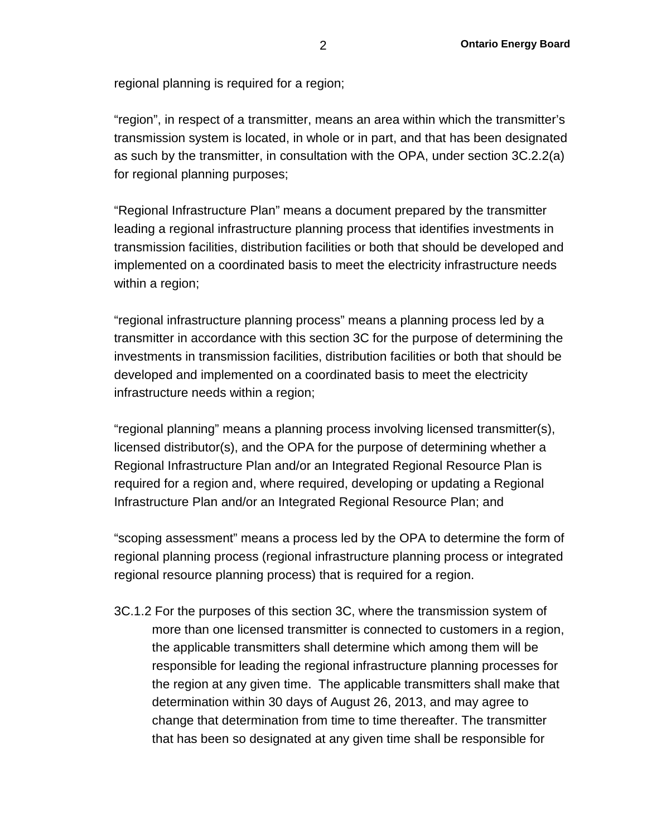regional planning is required for a region;

"region", in respect of a transmitter, means an area within which the transmitter's transmission system is located, in whole or in part, and that has been designated as such by the transmitter, in consultation with the OPA, under section 3C.2.2(a) for regional planning purposes;

"Regional Infrastructure Plan" means a document prepared by the transmitter leading a regional infrastructure planning process that identifies investments in transmission facilities, distribution facilities or both that should be developed and implemented on a coordinated basis to meet the electricity infrastructure needs within a region;

"regional infrastructure planning process" means a planning process led by a transmitter in accordance with this section 3C for the purpose of determining the investments in transmission facilities, distribution facilities or both that should be developed and implemented on a coordinated basis to meet the electricity infrastructure needs within a region;

"regional planning" means a planning process involving licensed transmitter(s), licensed distributor(s), and the OPA for the purpose of determining whether a Regional Infrastructure Plan and/or an Integrated Regional Resource Plan is required for a region and, where required, developing or updating a Regional Infrastructure Plan and/or an Integrated Regional Resource Plan; and

"scoping assessment" means a process led by the OPA to determine the form of regional planning process (regional infrastructure planning process or integrated regional resource planning process) that is required for a region.

3C.1.2 For the purposes of this section 3C, where the transmission system of more than one licensed transmitter is connected to customers in a region, the applicable transmitters shall determine which among them will be responsible for leading the regional infrastructure planning processes for the region at any given time. The applicable transmitters shall make that determination within 30 days of August 26, 2013, and may agree to change that determination from time to time thereafter. The transmitter that has been so designated at any given time shall be responsible for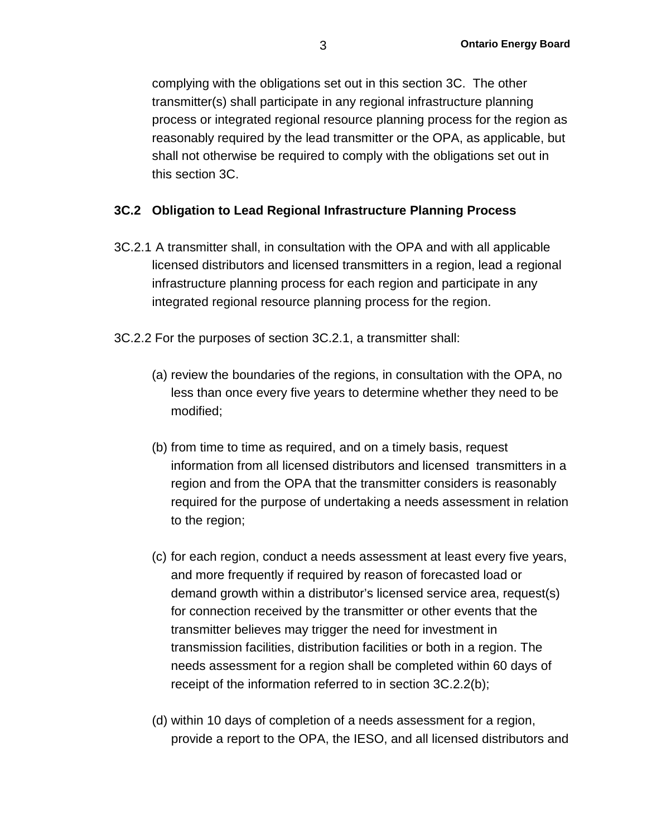complying with the obligations set out in this section 3C. The other transmitter(s) shall participate in any regional infrastructure planning process or integrated regional resource planning process for the region as reasonably required by the lead transmitter or the OPA, as applicable, but shall not otherwise be required to comply with the obligations set out in this section 3C.

## **3C.2 Obligation to Lead Regional Infrastructure Planning Process**

- 3C.2.1 A transmitter shall, in consultation with the OPA and with all applicable licensed distributors and licensed transmitters in a region, lead a regional infrastructure planning process for each region and participate in any integrated regional resource planning process for the region.
- 3C.2.2 For the purposes of section 3C.2.1, a transmitter shall:
	- (a) review the boundaries of the regions, in consultation with the OPA, no less than once every five years to determine whether they need to be modified;
	- (b) from time to time as required, and on a timely basis, request information from all licensed distributors and licensed transmitters in a region and from the OPA that the transmitter considers is reasonably required for the purpose of undertaking a needs assessment in relation to the region;
	- (c) for each region, conduct a needs assessment at least every five years, and more frequently if required by reason of forecasted load or demand growth within a distributor's licensed service area, request(s) for connection received by the transmitter or other events that the transmitter believes may trigger the need for investment in transmission facilities, distribution facilities or both in a region. The needs assessment for a region shall be completed within 60 days of receipt of the information referred to in section 3C.2.2(b);
	- (d) within 10 days of completion of a needs assessment for a region, provide a report to the OPA, the IESO, and all licensed distributors and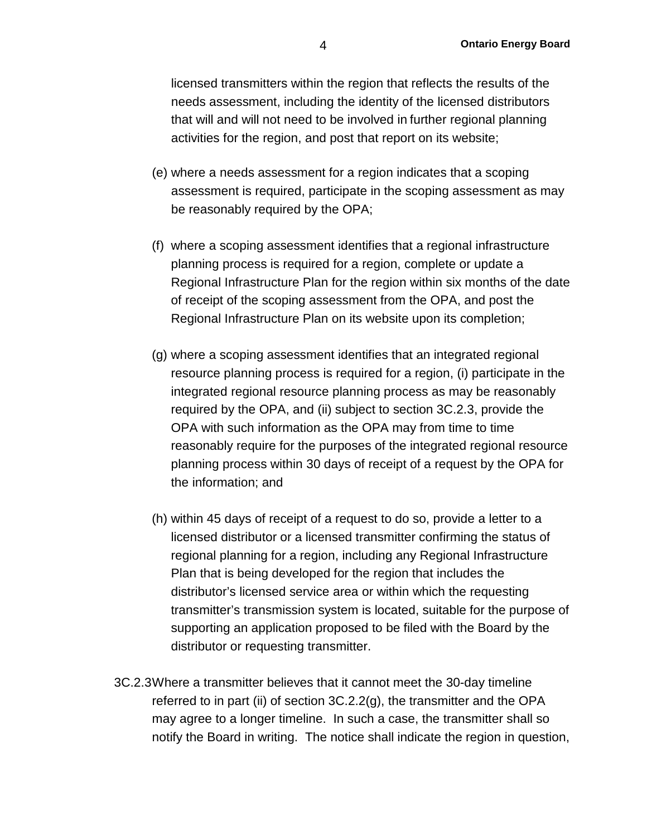licensed transmitters within the region that reflects the results of the needs assessment, including the identity of the licensed distributors that will and will not need to be involved in further regional planning activities for the region, and post that report on its website;

- (e) where a needs assessment for a region indicates that a scoping assessment is required, participate in the scoping assessment as may be reasonably required by the OPA;
- (f) where a scoping assessment identifies that a regional infrastructure planning process is required for a region, complete or update a Regional Infrastructure Plan for the region within six months of the date of receipt of the scoping assessment from the OPA, and post the Regional Infrastructure Plan on its website upon its completion;
- (g) where a scoping assessment identifies that an integrated regional resource planning process is required for a region, (i) participate in the integrated regional resource planning process as may be reasonably required by the OPA, and (ii) subject to section 3C.2.3, provide the OPA with such information as the OPA may from time to time reasonably require for the purposes of the integrated regional resource planning process within 30 days of receipt of a request by the OPA for the information; and
- (h) within 45 days of receipt of a request to do so, provide a letter to a licensed distributor or a licensed transmitter confirming the status of regional planning for a region, including any Regional Infrastructure Plan that is being developed for the region that includes the distributor's licensed service area or within which the requesting transmitter's transmission system is located, suitable for the purpose of supporting an application proposed to be filed with the Board by the distributor or requesting transmitter.
- 3C.2.3Where a transmitter believes that it cannot meet the 30-day timeline referred to in part (ii) of section 3C.2.2(g), the transmitter and the OPA may agree to a longer timeline. In such a case, the transmitter shall so notify the Board in writing. The notice shall indicate the region in question,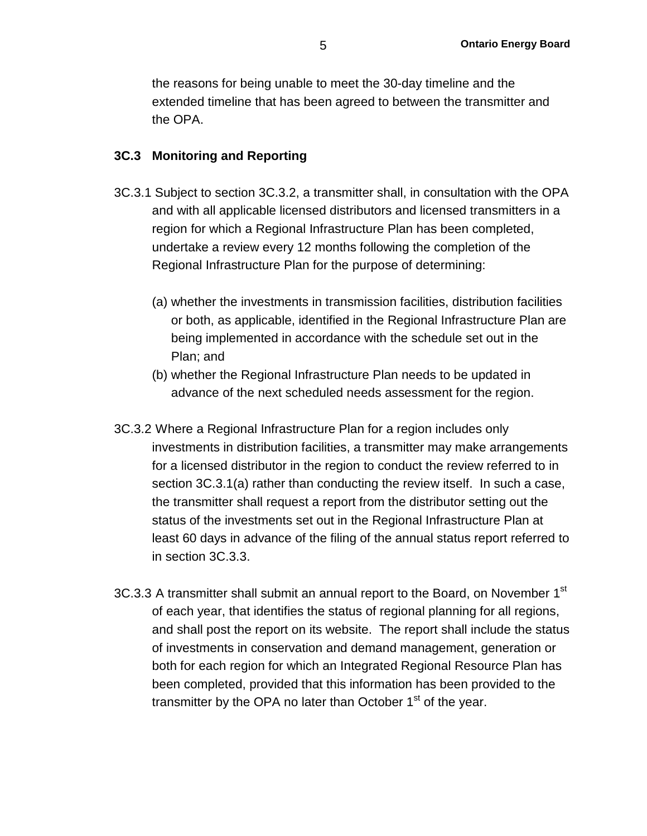the reasons for being unable to meet the 30-day timeline and the extended timeline that has been agreed to between the transmitter and the OPA.

#### **3C.3 Monitoring and Reporting**

- 3C.3.1 Subject to section 3C.3.2, a transmitter shall, in consultation with the OPA and with all applicable licensed distributors and licensed transmitters in a region for which a Regional Infrastructure Plan has been completed, undertake a review every 12 months following the completion of the Regional Infrastructure Plan for the purpose of determining:
	- (a) whether the investments in transmission facilities, distribution facilities or both, as applicable, identified in the Regional Infrastructure Plan are being implemented in accordance with the schedule set out in the Plan; and
	- (b) whether the Regional Infrastructure Plan needs to be updated in advance of the next scheduled needs assessment for the region.
- 3C.3.2 Where a Regional Infrastructure Plan for a region includes only investments in distribution facilities, a transmitter may make arrangements for a licensed distributor in the region to conduct the review referred to in section 3C.3.1(a) rather than conducting the review itself. In such a case, the transmitter shall request a report from the distributor setting out the status of the investments set out in the Regional Infrastructure Plan at least 60 days in advance of the filing of the annual status report referred to in section 3C.3.3.
- 3C.3.3 A transmitter shall submit an annual report to the Board, on November 1<sup>st</sup> of each year, that identifies the status of regional planning for all regions, and shall post the report on its website. The report shall include the status of investments in conservation and demand management, generation or both for each region for which an Integrated Regional Resource Plan has been completed, provided that this information has been provided to the transmitter by the OPA no later than October  $1<sup>st</sup>$  of the year.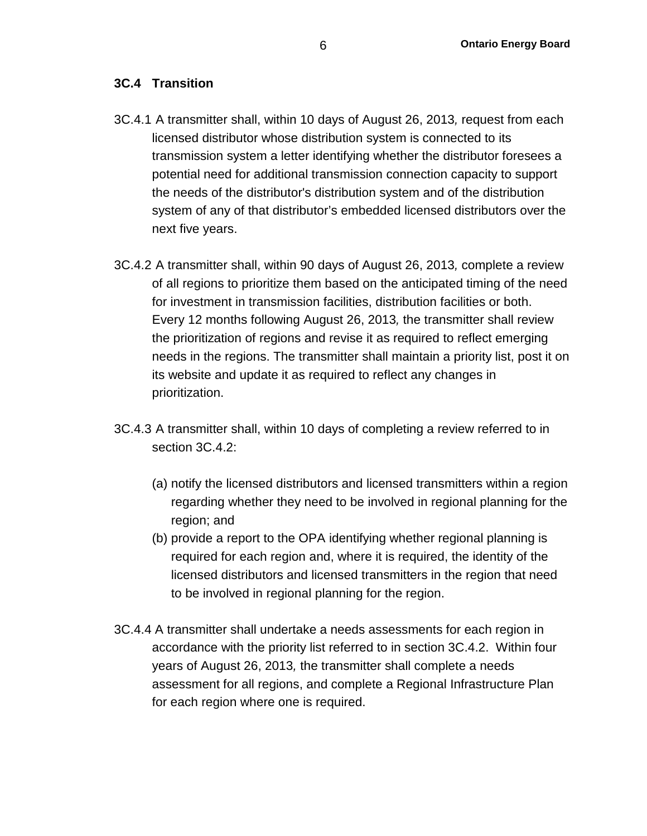## **3C.4 Transition**

- 3C.4.1 A transmitter shall, within 10 days of August 26, 2013*,* request from each licensed distributor whose distribution system is connected to its transmission system a letter identifying whether the distributor foresees a potential need for additional transmission connection capacity to support the needs of the distributor's distribution system and of the distribution system of any of that distributor's embedded licensed distributors over the next five years.
- 3C.4.2 A transmitter shall, within 90 days of August 26, 2013*,* complete a review of all regions to prioritize them based on the anticipated timing of the need for investment in transmission facilities, distribution facilities or both. Every 12 months following August 26, 2013*,* the transmitter shall review the prioritization of regions and revise it as required to reflect emerging needs in the regions. The transmitter shall maintain a priority list, post it on its website and update it as required to reflect any changes in prioritization.
- 3C.4.3 A transmitter shall, within 10 days of completing a review referred to in section 3C.4.2:
	- (a) notify the licensed distributors and licensed transmitters within a region regarding whether they need to be involved in regional planning for the region; and
	- (b) provide a report to the OPA identifying whether regional planning is required for each region and, where it is required, the identity of the licensed distributors and licensed transmitters in the region that need to be involved in regional planning for the region.
- 3C.4.4 A transmitter shall undertake a needs assessments for each region in accordance with the priority list referred to in section 3C.4.2. Within four years of August 26, 2013*,* the transmitter shall complete a needs assessment for all regions, and complete a Regional Infrastructure Plan for each region where one is required.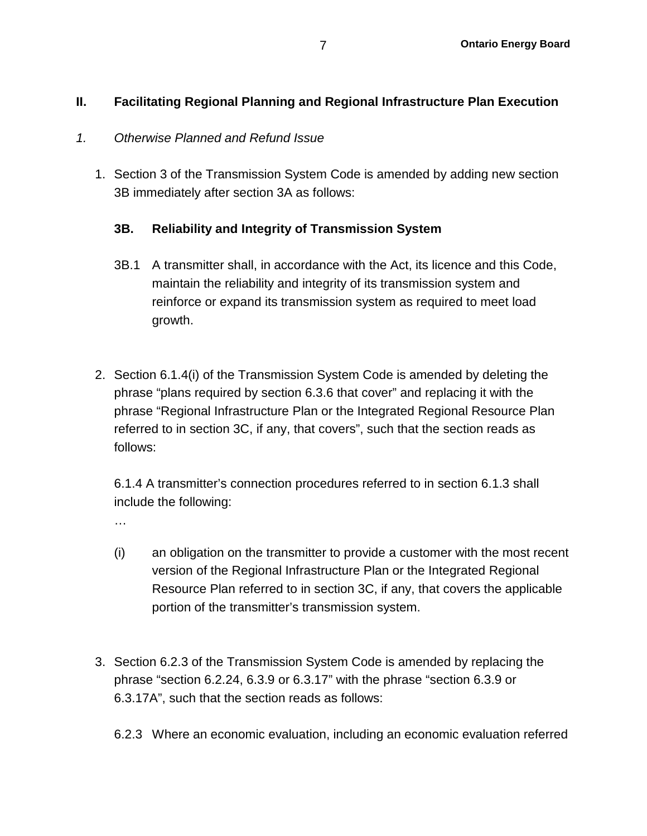## **II. Facilitating Regional Planning and Regional Infrastructure Plan Execution**

### *1. Otherwise Planned and Refund Issue*

1. Section 3 of the Transmission System Code is amended by adding new section 3B immediately after section 3A as follows:

## **3B. Reliability and Integrity of Transmission System**

- 3B.1 A transmitter shall, in accordance with the Act, its licence and this Code, maintain the reliability and integrity of its transmission system and reinforce or expand its transmission system as required to meet load growth.
- 2. Section 6.1.4(i) of the Transmission System Code is amended by deleting the phrase "plans required by section 6.3.6 that cover" and replacing it with the phrase "Regional Infrastructure Plan or the Integrated Regional Resource Plan referred to in section 3C, if any, that covers", such that the section reads as follows:

6.1.4 A transmitter's connection procedures referred to in section 6.1.3 shall include the following:

…

- (i) an obligation on the transmitter to provide a customer with the most recent version of the Regional Infrastructure Plan or the Integrated Regional Resource Plan referred to in section 3C, if any, that covers the applicable portion of the transmitter's transmission system.
- 3. Section 6.2.3 of the Transmission System Code is amended by replacing the phrase "section 6.2.24, 6.3.9 or 6.3.17" with the phrase "section 6.3.9 or 6.3.17A", such that the section reads as follows:
	- 6.2.3 Where an economic evaluation, including an economic evaluation referred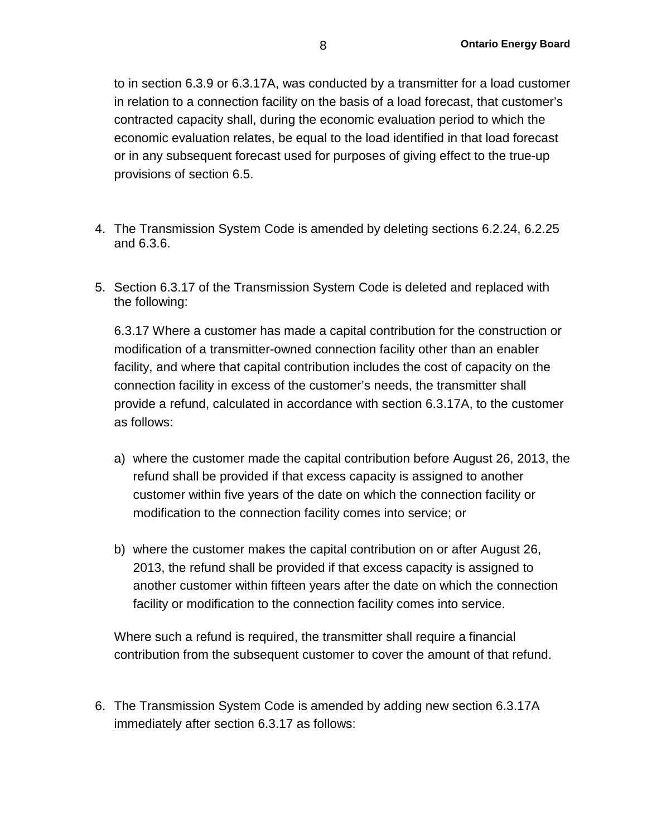to in section 6.3.9 or 6.3.17A, was conducted by a transmitter for a load customer in relation to a connection facility on the basis of a load forecast, that customer's contracted capacity shall, during the economic evaluation period to which the economic evaluation relates, be equal to the load identified in that load forecast or in any subsequent forecast used for purposes of giving effect to the true-up provisions of section 6.5.

- 4. The Transmission System Code is amended by deleting sections 6.2.24, 6.2.25 and 6.3.6.
- 5. Section 6.3.17 of the Transmission System Code is deleted and replaced with the following:

6.3.17 Where a customer has made a capital contribution for the construction or modification of a transmitter-owned connection facility other than an enabler facility, and where that capital contribution includes the cost of capacity on the connection facility in excess of the customer's needs, the transmitter shall provide a refund, calculated in accordance with section 6.3.17A, to the customer as follows:

- a) where the customer made the capital contribution before August 26, 2013, the refund shall be provided if that excess capacity is assigned to another customer within five years of the date on which the connection facility or modification to the connection facility comes into service; or
- b) where the customer makes the capital contribution on or after August 26, 2013, the refund shall be provided if that excess capacity is assigned to another customer within fifteen years after the date on which the connection facility or modification to the connection facility comes into service.

Where such a refund is required, the transmitter shall require a financial contribution from the subsequent customer to cover the amount of that refund.

6. The Transmission System Code is amended by adding new section 6.3.17A immediately after section 6.3.17 as follows: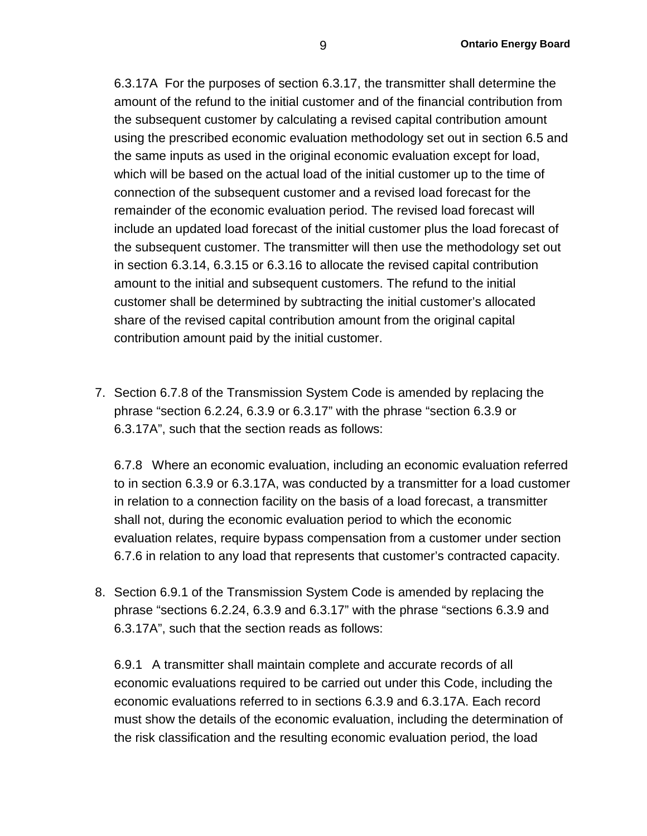6.3.17A For the purposes of section 6.3.17, the transmitter shall determine the amount of the refund to the initial customer and of the financial contribution from the subsequent customer by calculating a revised capital contribution amount using the prescribed economic evaluation methodology set out in section 6.5 and the same inputs as used in the original economic evaluation except for load, which will be based on the actual load of the initial customer up to the time of connection of the subsequent customer and a revised load forecast for the remainder of the economic evaluation period. The revised load forecast will include an updated load forecast of the initial customer plus the load forecast of the subsequent customer. The transmitter will then use the methodology set out in section 6.3.14, 6.3.15 or 6.3.16 to allocate the revised capital contribution amount to the initial and subsequent customers. The refund to the initial customer shall be determined by subtracting the initial customer's allocated share of the revised capital contribution amount from the original capital contribution amount paid by the initial customer.

7. Section 6.7.8 of the Transmission System Code is amended by replacing the phrase "section 6.2.24, 6.3.9 or 6.3.17" with the phrase "section 6.3.9 or 6.3.17A", such that the section reads as follows:

6.7.8 Where an economic evaluation, including an economic evaluation referred to in section 6.3.9 or 6.3.17A, was conducted by a transmitter for a load customer in relation to a connection facility on the basis of a load forecast, a transmitter shall not, during the economic evaluation period to which the economic evaluation relates, require bypass compensation from a customer under section 6.7.6 in relation to any load that represents that customer's contracted capacity.

8. Section 6.9.1 of the Transmission System Code is amended by replacing the phrase "sections 6.2.24, 6.3.9 and 6.3.17" with the phrase "sections 6.3.9 and 6.3.17A", such that the section reads as follows:

6.9.1 A transmitter shall maintain complete and accurate records of all economic evaluations required to be carried out under this Code, including the economic evaluations referred to in sections 6.3.9 and 6.3.17A. Each record must show the details of the economic evaluation, including the determination of the risk classification and the resulting economic evaluation period, the load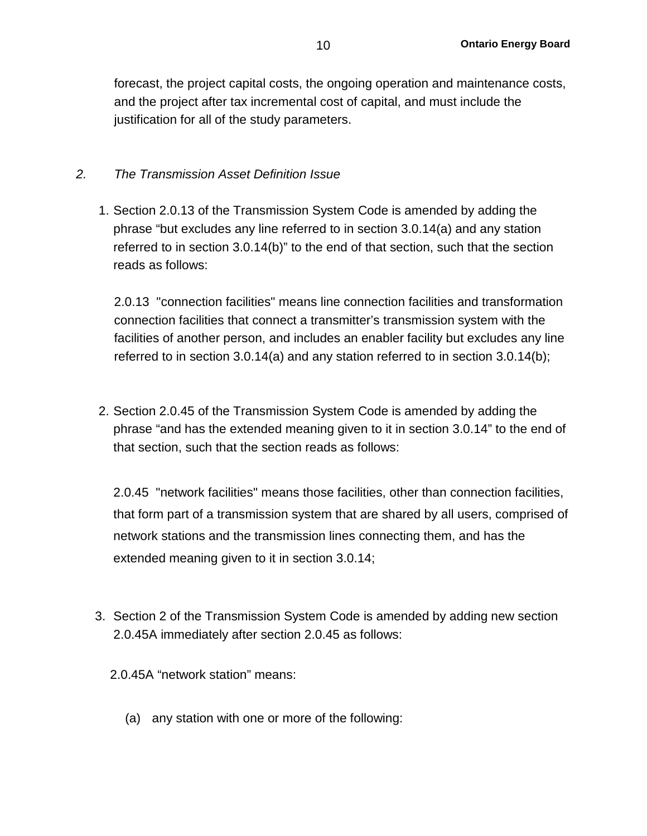forecast, the project capital costs, the ongoing operation and maintenance costs, and the project after tax incremental cost of capital, and must include the justification for all of the study parameters.

## *2. The Transmission Asset Definition Issue*

1. Section 2.0.13 of the Transmission System Code is amended by adding the phrase "but excludes any line referred to in section 3.0.14(a) and any station referred to in section 3.0.14(b)" to the end of that section, such that the section reads as follows:

2.0.13 "connection facilities" means line connection facilities and transformation connection facilities that connect a transmitter's transmission system with the facilities of another person, and includes an enabler facility but excludes any line referred to in section 3.0.14(a) and any station referred to in section 3.0.14(b);

2. Section 2.0.45 of the Transmission System Code is amended by adding the phrase "and has the extended meaning given to it in section 3.0.14" to the end of that section, such that the section reads as follows:

2.0.45 "network facilities" means those facilities, other than connection facilities, that form part of a transmission system that are shared by all users, comprised of network stations and the transmission lines connecting them, and has the extended meaning given to it in section 3.0.14;

- 3. Section 2 of the Transmission System Code is amended by adding new section 2.0.45A immediately after section 2.0.45 as follows:
	- 2.0.45A "network station" means:
		- (a) any station with one or more of the following: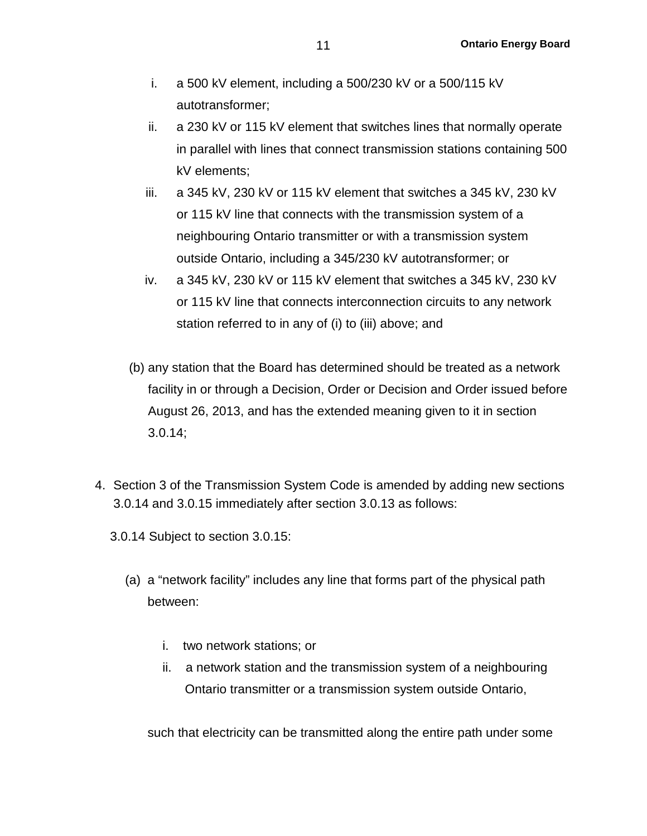- i. a 500 kV element, including a 500/230 kV or a 500/115 kV autotransformer;
- ii. a 230 kV or 115 kV element that switches lines that normally operate in parallel with lines that connect transmission stations containing 500 kV elements;
- iii. a 345 kV, 230 kV or 115 kV element that switches a 345 kV, 230 kV or 115 kV line that connects with the transmission system of a neighbouring Ontario transmitter or with a transmission system outside Ontario, including a 345/230 kV autotransformer; or
- iv. a 345 kV, 230 kV or 115 kV element that switches a 345 kV, 230 kV or 115 kV line that connects interconnection circuits to any network station referred to in any of (i) to (iii) above; and
- (b) any station that the Board has determined should be treated as a network facility in or through a Decision, Order or Decision and Order issued before August 26, 2013, and has the extended meaning given to it in section 3.0.14;
- 4. Section 3 of the Transmission System Code is amended by adding new sections 3.0.14 and 3.0.15 immediately after section 3.0.13 as follows:
	- 3.0.14 Subject to section 3.0.15:
		- (a) a "network facility" includes any line that forms part of the physical path between:
			- i. two network stations; or
			- ii. a network station and the transmission system of a neighbouring Ontario transmitter or a transmission system outside Ontario,

such that electricity can be transmitted along the entire path under some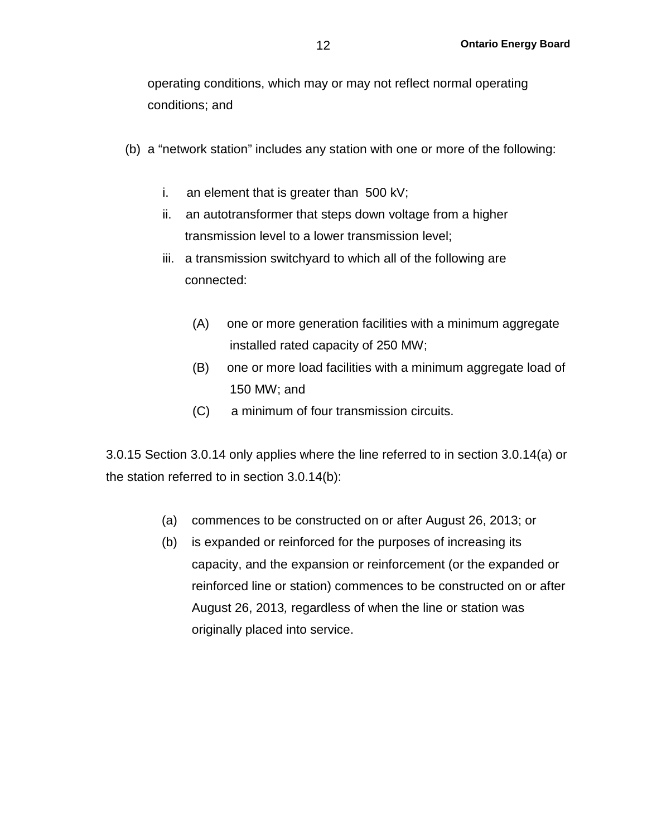operating conditions, which may or may not reflect normal operating conditions; and

- (b) a "network station" includes any station with one or more of the following:
	- i. an element that is greater than 500 kV;
	- ii. an autotransformer that steps down voltage from a higher transmission level to a lower transmission level;
	- iii. a transmission switchyard to which all of the following are connected:
		- (A) one or more generation facilities with a minimum aggregate installed rated capacity of 250 MW;
		- (B) one or more load facilities with a minimum aggregate load of 150 MW; and
		- (C) a minimum of four transmission circuits.

3.0.15 Section 3.0.14 only applies where the line referred to in section 3.0.14(a) or the station referred to in section 3.0.14(b):

- (a) commences to be constructed on or after August 26, 2013; or
- (b) is expanded or reinforced for the purposes of increasing its capacity, and the expansion or reinforcement (or the expanded or reinforced line or station) commences to be constructed on or after August 26, 2013*,* regardless of when the line or station was originally placed into service.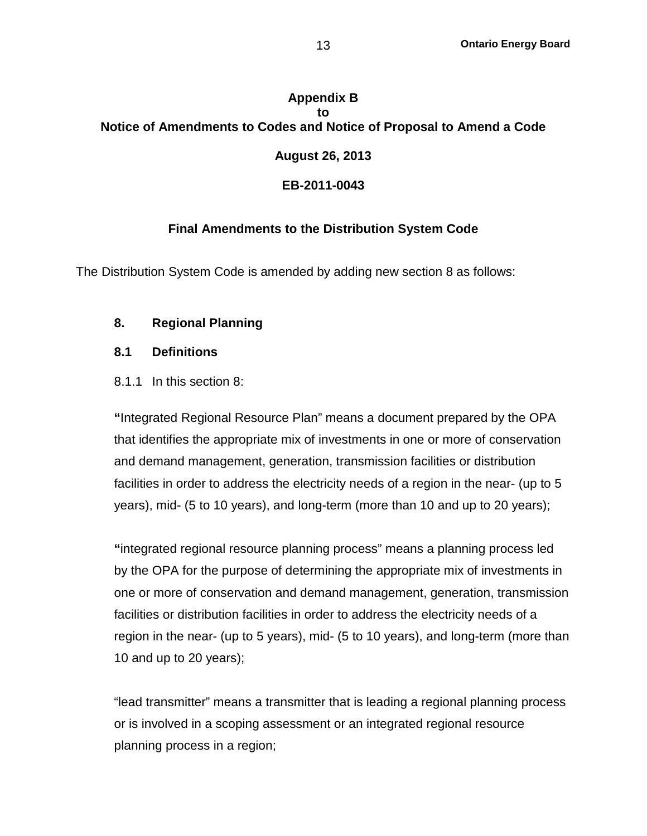# **Appendix B to Notice of Amendments to Codes and Notice of Proposal to Amend a Code August 26, 2013 EB-2011-0043**

## **Final Amendments to the Distribution System Code**

The Distribution System Code is amended by adding new section 8 as follows:

### **8. Regional Planning**

#### **8.1 Definitions**

#### 8.1.1 In this section 8:

**"**Integrated Regional Resource Plan" means a document prepared by the OPA that identifies the appropriate mix of investments in one or more of conservation and demand management, generation, transmission facilities or distribution facilities in order to address the electricity needs of a region in the near- (up to 5 years), mid- (5 to 10 years), and long-term (more than 10 and up to 20 years);

**"**integrated regional resource planning process" means a planning process led by the OPA for the purpose of determining the appropriate mix of investments in one or more of conservation and demand management, generation, transmission facilities or distribution facilities in order to address the electricity needs of a region in the near- (up to 5 years), mid- (5 to 10 years), and long-term (more than 10 and up to 20 years);

"lead transmitter" means a transmitter that is leading a regional planning process or is involved in a scoping assessment or an integrated regional resource planning process in a region;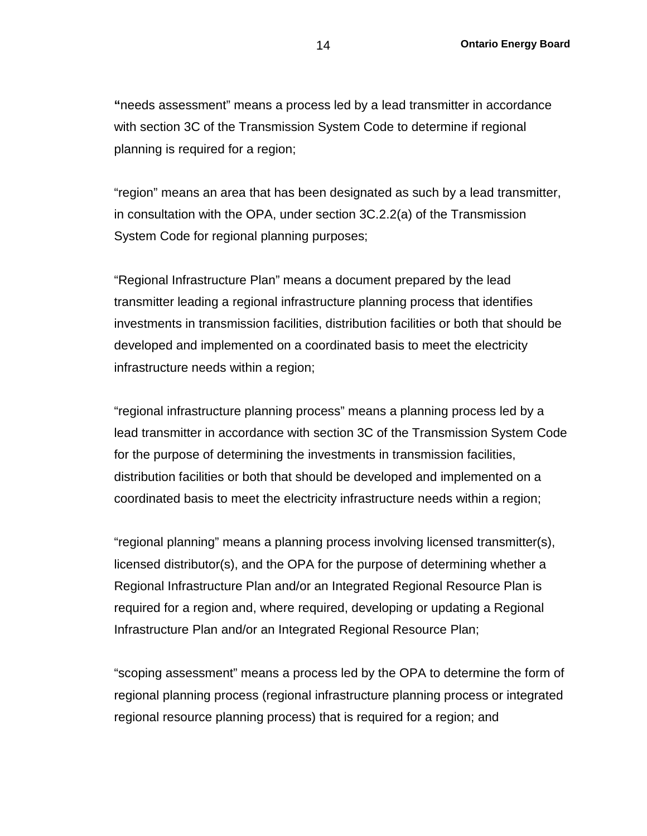**"**needs assessment" means a process led by a lead transmitter in accordance with section 3C of the Transmission System Code to determine if regional planning is required for a region;

"region" means an area that has been designated as such by a lead transmitter, in consultation with the OPA, under section 3C.2.2(a) of the Transmission System Code for regional planning purposes;

"Regional Infrastructure Plan" means a document prepared by the lead transmitter leading a regional infrastructure planning process that identifies investments in transmission facilities, distribution facilities or both that should be developed and implemented on a coordinated basis to meet the electricity infrastructure needs within a region;

"regional infrastructure planning process" means a planning process led by a lead transmitter in accordance with section 3C of the Transmission System Code for the purpose of determining the investments in transmission facilities, distribution facilities or both that should be developed and implemented on a coordinated basis to meet the electricity infrastructure needs within a region;

"regional planning" means a planning process involving licensed transmitter(s), licensed distributor(s), and the OPA for the purpose of determining whether a Regional Infrastructure Plan and/or an Integrated Regional Resource Plan is required for a region and, where required, developing or updating a Regional Infrastructure Plan and/or an Integrated Regional Resource Plan;

"scoping assessment" means a process led by the OPA to determine the form of regional planning process (regional infrastructure planning process or integrated regional resource planning process) that is required for a region; and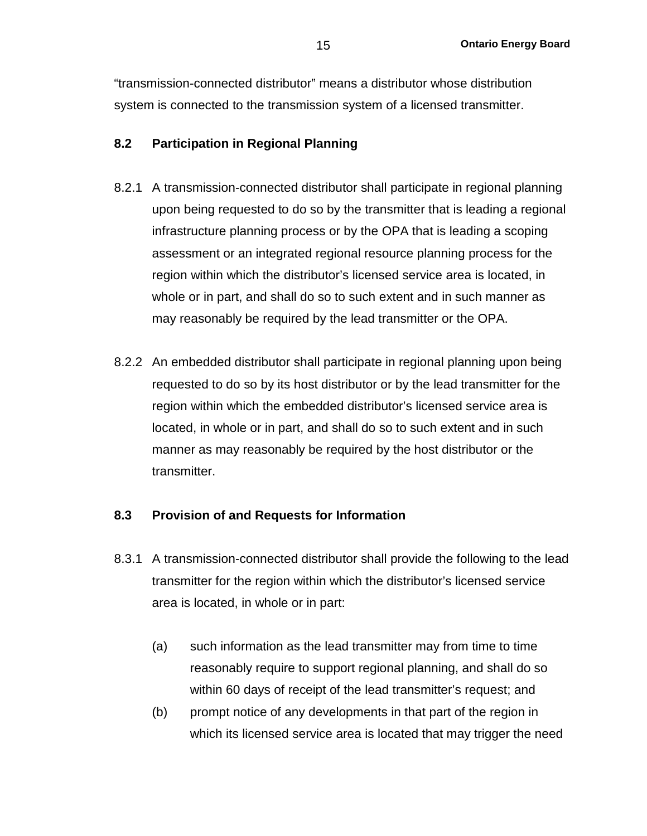"transmission-connected distributor" means a distributor whose distribution system is connected to the transmission system of a licensed transmitter.

## **8.2 Participation in Regional Planning**

- 8.2.1 A transmission-connected distributor shall participate in regional planning upon being requested to do so by the transmitter that is leading a regional infrastructure planning process or by the OPA that is leading a scoping assessment or an integrated regional resource planning process for the region within which the distributor's licensed service area is located, in whole or in part, and shall do so to such extent and in such manner as may reasonably be required by the lead transmitter or the OPA.
- 8.2.2 An embedded distributor shall participate in regional planning upon being requested to do so by its host distributor or by the lead transmitter for the region within which the embedded distributor's licensed service area is located, in whole or in part, and shall do so to such extent and in such manner as may reasonably be required by the host distributor or the transmitter.

## **8.3 Provision of and Requests for Information**

- 8.3.1 A transmission-connected distributor shall provide the following to the lead transmitter for the region within which the distributor's licensed service area is located, in whole or in part:
	- (a) such information as the lead transmitter may from time to time reasonably require to support regional planning, and shall do so within 60 days of receipt of the lead transmitter's request; and
	- (b) prompt notice of any developments in that part of the region in which its licensed service area is located that may trigger the need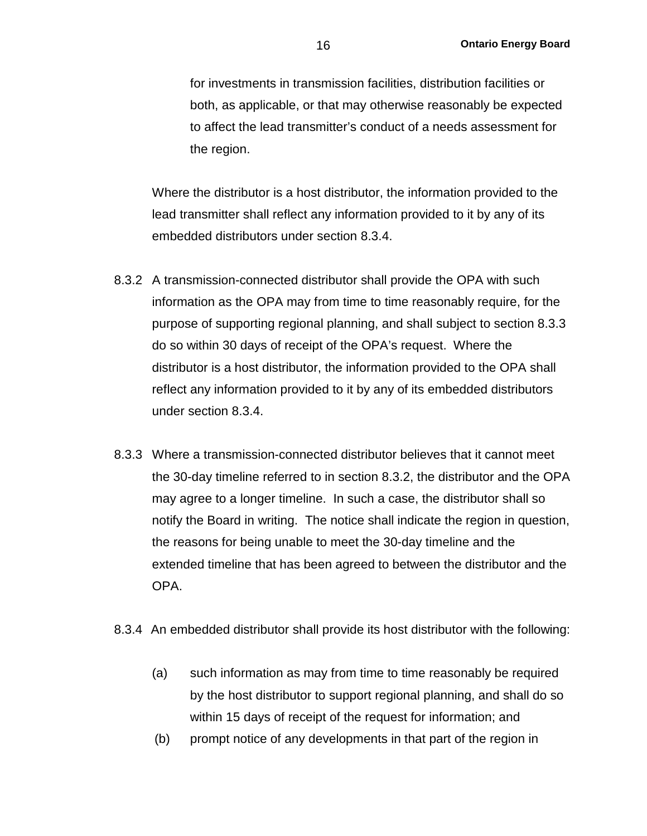for investments in transmission facilities, distribution facilities or both, as applicable, or that may otherwise reasonably be expected to affect the lead transmitter's conduct of a needs assessment for the region.

Where the distributor is a host distributor, the information provided to the lead transmitter shall reflect any information provided to it by any of its embedded distributors under section 8.3.4.

- 8.3.2 A transmission-connected distributor shall provide the OPA with such information as the OPA may from time to time reasonably require, for the purpose of supporting regional planning, and shall subject to section 8.3.3 do so within 30 days of receipt of the OPA's request. Where the distributor is a host distributor, the information provided to the OPA shall reflect any information provided to it by any of its embedded distributors under section 8.3.4.
- 8.3.3 Where a transmission-connected distributor believes that it cannot meet the 30-day timeline referred to in section 8.3.2, the distributor and the OPA may agree to a longer timeline. In such a case, the distributor shall so notify the Board in writing. The notice shall indicate the region in question, the reasons for being unable to meet the 30-day timeline and the extended timeline that has been agreed to between the distributor and the OPA.
- 8.3.4 An embedded distributor shall provide its host distributor with the following:
	- (a) such information as may from time to time reasonably be required by the host distributor to support regional planning, and shall do so within 15 days of receipt of the request for information; and
	- (b) prompt notice of any developments in that part of the region in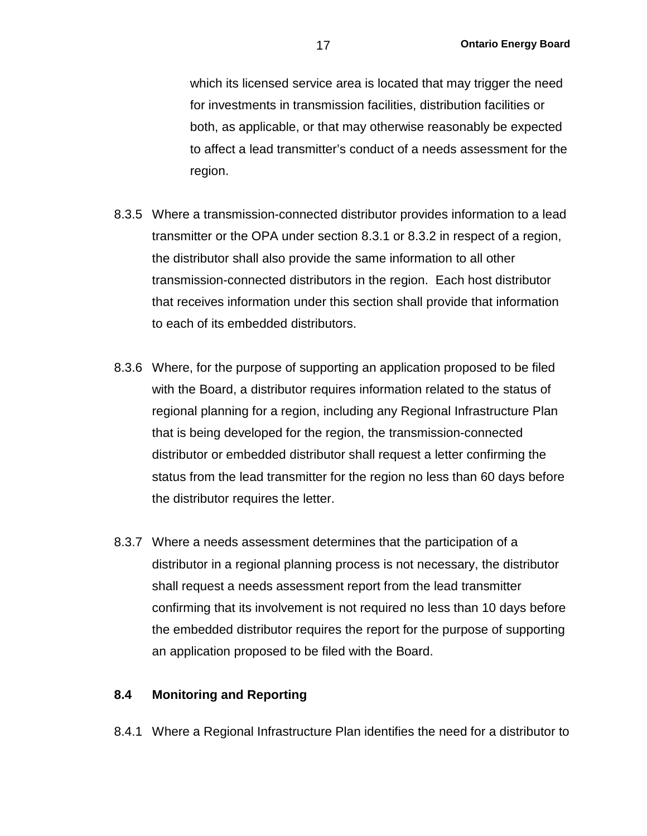which its licensed service area is located that may trigger the need for investments in transmission facilities, distribution facilities or both, as applicable, or that may otherwise reasonably be expected to affect a lead transmitter's conduct of a needs assessment for the region.

- 8.3.5 Where a transmission-connected distributor provides information to a lead transmitter or the OPA under section 8.3.1 or 8.3.2 in respect of a region, the distributor shall also provide the same information to all other transmission-connected distributors in the region. Each host distributor that receives information under this section shall provide that information to each of its embedded distributors.
- 8.3.6 Where, for the purpose of supporting an application proposed to be filed with the Board, a distributor requires information related to the status of regional planning for a region, including any Regional Infrastructure Plan that is being developed for the region, the transmission-connected distributor or embedded distributor shall request a letter confirming the status from the lead transmitter for the region no less than 60 days before the distributor requires the letter.
- 8.3.7 Where a needs assessment determines that the participation of a distributor in a regional planning process is not necessary, the distributor shall request a needs assessment report from the lead transmitter confirming that its involvement is not required no less than 10 days before the embedded distributor requires the report for the purpose of supporting an application proposed to be filed with the Board.

#### **8.4 Monitoring and Reporting**

8.4.1 Where a Regional Infrastructure Plan identifies the need for a distributor to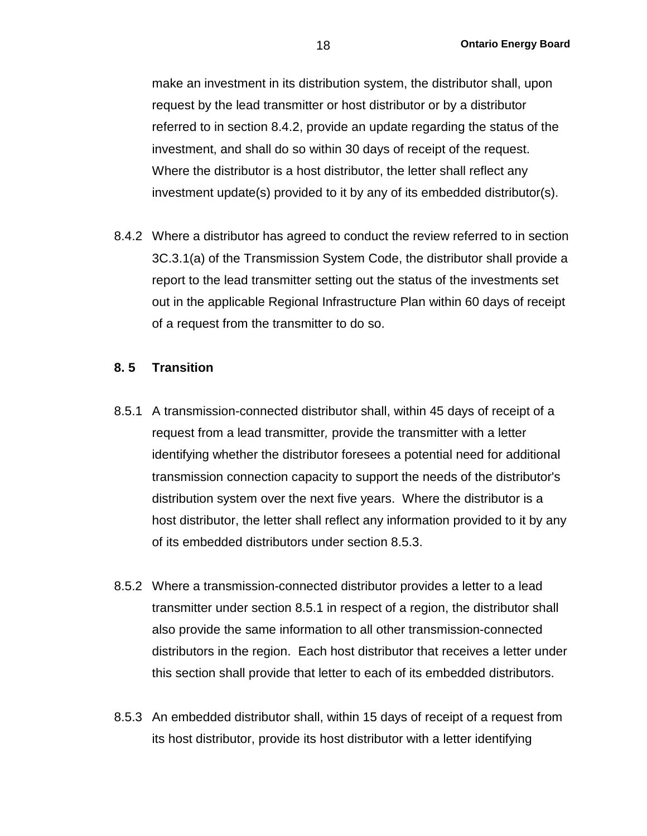make an investment in its distribution system, the distributor shall, upon request by the lead transmitter or host distributor or by a distributor referred to in section 8.4.2, provide an update regarding the status of the investment, and shall do so within 30 days of receipt of the request. Where the distributor is a host distributor, the letter shall reflect any investment update(s) provided to it by any of its embedded distributor(s).

8.4.2 Where a distributor has agreed to conduct the review referred to in section 3C.3.1(a) of the Transmission System Code, the distributor shall provide a report to the lead transmitter setting out the status of the investments set out in the applicable Regional Infrastructure Plan within 60 days of receipt of a request from the transmitter to do so.

#### **8. 5 Transition**

- 8.5.1 A transmission-connected distributor shall, within 45 days of receipt of a request from a lead transmitter*,* provide the transmitter with a letter identifying whether the distributor foresees a potential need for additional transmission connection capacity to support the needs of the distributor's distribution system over the next five years. Where the distributor is a host distributor, the letter shall reflect any information provided to it by any of its embedded distributors under section 8.5.3.
- 8.5.2 Where a transmission-connected distributor provides a letter to a lead transmitter under section 8.5.1 in respect of a region, the distributor shall also provide the same information to all other transmission-connected distributors in the region. Each host distributor that receives a letter under this section shall provide that letter to each of its embedded distributors.
- 8.5.3 An embedded distributor shall, within 15 days of receipt of a request from its host distributor, provide its host distributor with a letter identifying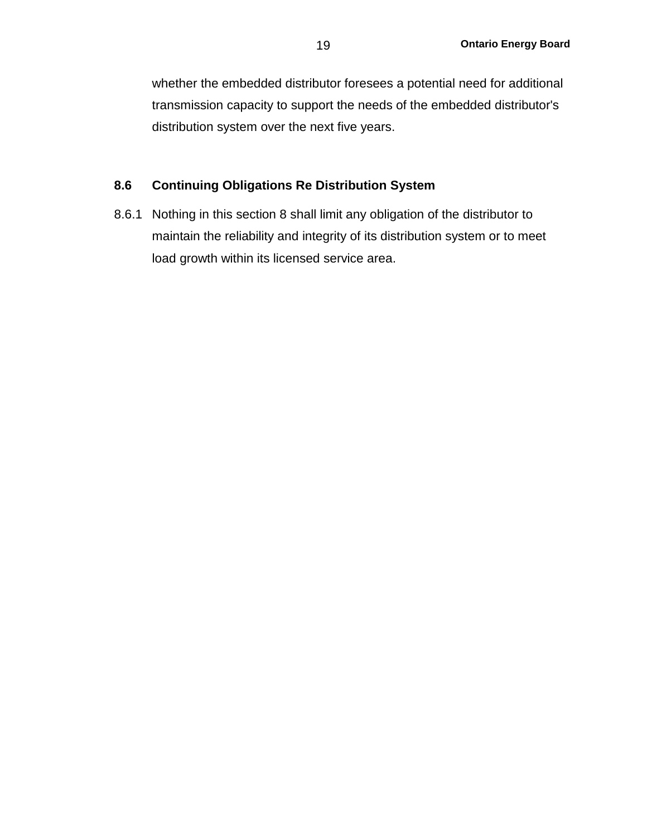whether the embedded distributor foresees a potential need for additional transmission capacity to support the needs of the embedded distributor's distribution system over the next five years.

#### **8.6 Continuing Obligations Re Distribution System**

8.6.1 Nothing in this section 8 shall limit any obligation of the distributor to maintain the reliability and integrity of its distribution system or to meet load growth within its licensed service area.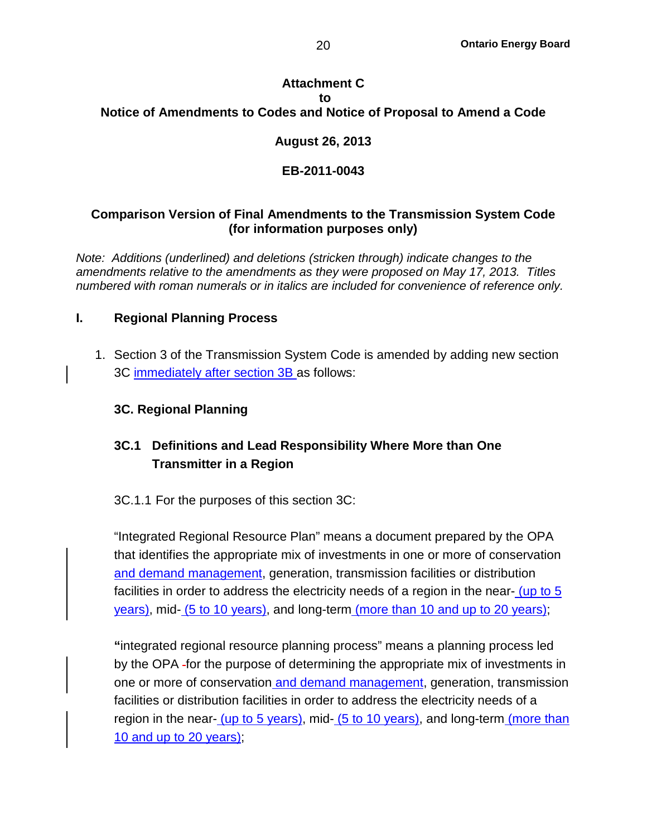## **Attachment C to Notice of Amendments to Codes and Notice of Proposal to Amend a Code**

## **August 26, 2013**

## **EB-2011-0043**

## **Comparison Version of Final Amendments to the Transmission System Code (for information purposes only)**

*Note: Additions (underlined) and deletions (stricken through) indicate changes to the amendments relative to the amendments as they were proposed on May 17, 2013. Titles numbered with roman numerals or in italics are included for convenience of reference only.*

## **I. Regional Planning Process**

1. Section 3 of the Transmission System Code is amended by adding new section 3C immediately after section 3B as follows:

## **3C. Regional Planning**

## **3C.1 Definitions and Lead Responsibility Where More than One Transmitter in a Region**

## 3C.1.1 For the purposes of this section 3C:

"Integrated Regional Resource Plan" means a document prepared by the OPA that identifies the appropriate mix of investments in one or more of conservation and demand management, generation, transmission facilities or distribution facilities in order to address the electricity needs of a region in the near- (up to 5 years), mid- (5 to 10 years), and long-term (more than 10 and up to 20 years);

**"**integrated regional resource planning process" means a planning process led by the OPA - for the purpose of determining the appropriate mix of investments in one or more of conservation and demand management, generation, transmission facilities or distribution facilities in order to address the electricity needs of a region in the near- (up to 5 years), mid- (5 to 10 years), and long-term (more than 10 and up to 20 years);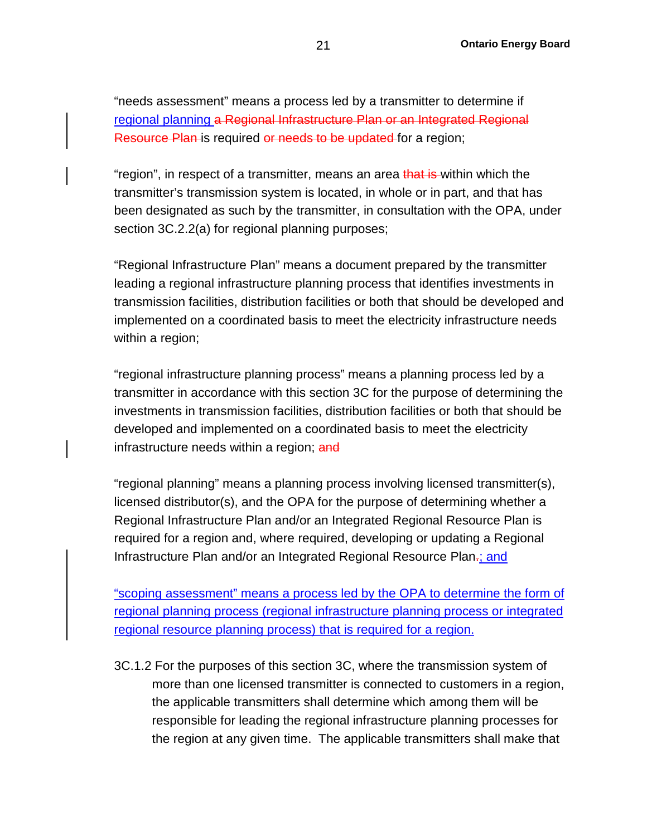"needs assessment" means a process led by a transmitter to determine if regional planning a Regional Infrastructure Plan or an Integrated Regional Resource Plan is required or needs to be updated for a region;

"region", in respect of a transmitter, means an area that is within which the transmitter's transmission system is located, in whole or in part, and that has been designated as such by the transmitter, in consultation with the OPA, under section 3C.2.2(a) for regional planning purposes;

"Regional Infrastructure Plan" means a document prepared by the transmitter leading a regional infrastructure planning process that identifies investments in transmission facilities, distribution facilities or both that should be developed and implemented on a coordinated basis to meet the electricity infrastructure needs within a region;

"regional infrastructure planning process" means a planning process led by a transmitter in accordance with this section 3C for the purpose of determining the investments in transmission facilities, distribution facilities or both that should be developed and implemented on a coordinated basis to meet the electricity infrastructure needs within a region; and

"regional planning" means a planning process involving licensed transmitter(s), licensed distributor(s), and the OPA for the purpose of determining whether a Regional Infrastructure Plan and/or an Integrated Regional Resource Plan is required for a region and, where required, developing or updating a Regional Infrastructure Plan and/or an Integrated Regional Resource Plan-; and

"scoping assessment" means a process led by the OPA to determine the form of regional planning process (regional infrastructure planning process or integrated regional resource planning process) that is required for a region.

3C.1.2 For the purposes of this section 3C, where the transmission system of more than one licensed transmitter is connected to customers in a region, the applicable transmitters shall determine which among them will be responsible for leading the regional infrastructure planning processes for the region at any given time. The applicable transmitters shall make that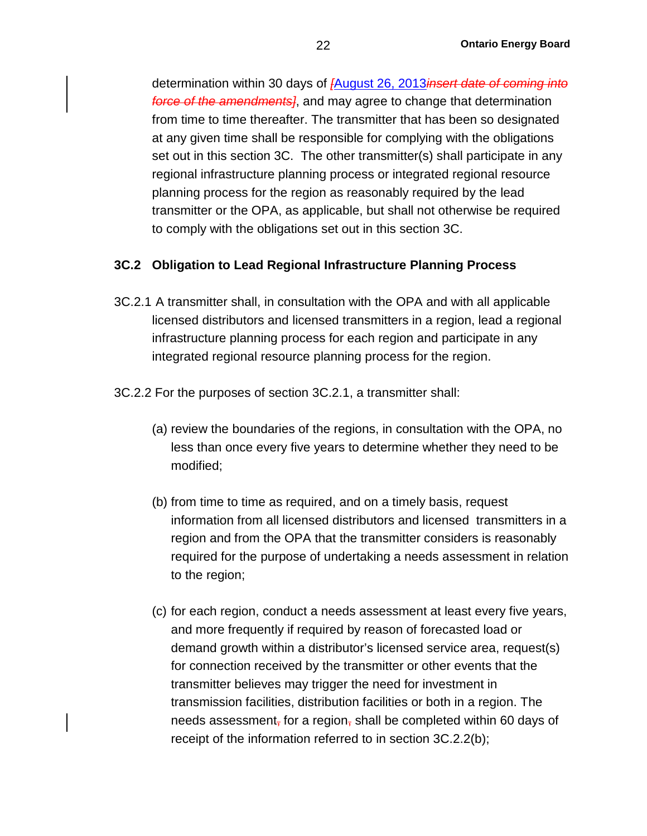determination within 30 days of *[*August 26, 2013*insert date of coming into force of the amendments]*, and may agree to change that determination from time to time thereafter. The transmitter that has been so designated at any given time shall be responsible for complying with the obligations set out in this section 3C. The other transmitter(s) shall participate in any regional infrastructure planning process or integrated regional resource planning process for the region as reasonably required by the lead transmitter or the OPA, as applicable, but shall not otherwise be required to comply with the obligations set out in this section 3C.

#### **3C.2 Obligation to Lead Regional Infrastructure Planning Process**

- 3C.2.1 A transmitter shall, in consultation with the OPA and with all applicable licensed distributors and licensed transmitters in a region, lead a regional infrastructure planning process for each region and participate in any integrated regional resource planning process for the region.
- 3C.2.2 For the purposes of section 3C.2.1, a transmitter shall:
	- (a) review the boundaries of the regions, in consultation with the OPA, no less than once every five years to determine whether they need to be modified;
	- (b) from time to time as required, and on a timely basis, request information from all licensed distributors and licensed transmitters in a region and from the OPA that the transmitter considers is reasonably required for the purpose of undertaking a needs assessment in relation to the region;
	- (c) for each region, conduct a needs assessment at least every five years, and more frequently if required by reason of forecasted load or demand growth within a distributor's licensed service area, request(s) for connection received by the transmitter or other events that the transmitter believes may trigger the need for investment in transmission facilities, distribution facilities or both in a region. The needs assessment, for a region, shall be completed within 60 days of receipt of the information referred to in section 3C.2.2(b);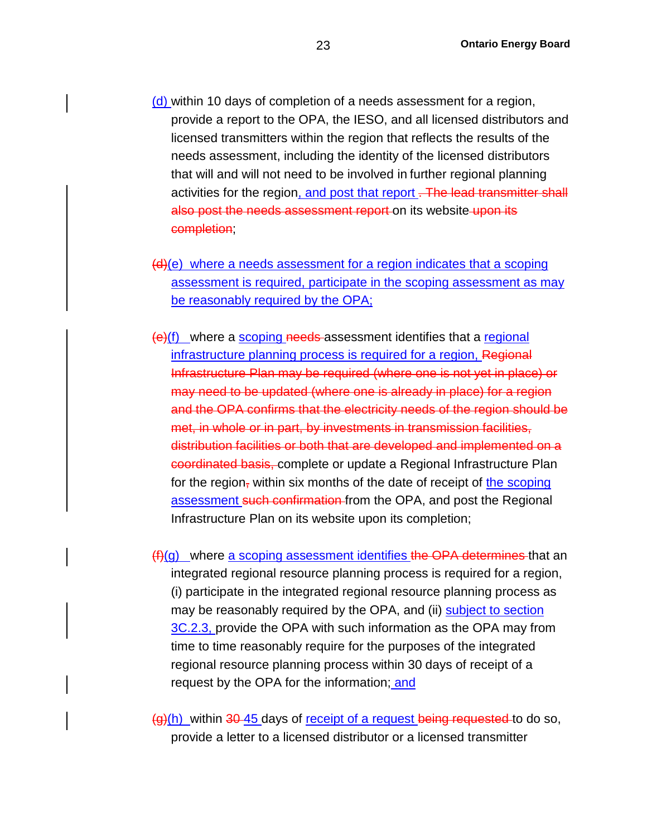- (d) within 10 days of completion of a needs assessment for a region, provide a report to the OPA, the IESO, and all licensed distributors and licensed transmitters within the region that reflects the results of the needs assessment, including the identity of the licensed distributors that will and will not need to be involved in further regional planning activities for the region, and post that report. The lead transmitter shall also post the needs assessment report on its website upon its completion;
- (d)(e) where a needs assessment for a region indicates that a scoping assessment is required, participate in the scoping assessment as may be reasonably required by the OPA;
- $(e)(f)$  where a scoping needs-assessment identifies that a regional infrastructure planning process is required for a region, Regional Infrastructure Plan may be required (where one is not yet in place) or may need to be updated (where one is already in place) for a region and the OPA confirms that the electricity needs of the region should be met, in whole or in part, by investments in transmission facilities, distribution facilities or both that are developed and implemented on a coordinated basis, complete or update a Regional Infrastructure Plan for the region, within six months of the date of receipt of the scoping assessment such confirmation from the OPA, and post the Regional Infrastructure Plan on its website upon its completion;
- $(f)(g)$  where a scoping assessment identifies the OPA determines that an integrated regional resource planning process is required for a region, (i) participate in the integrated regional resource planning process as may be reasonably required by the OPA, and (ii) subject to section 3C.2.3, provide the OPA with such information as the OPA may from time to time reasonably require for the purposes of the integrated regional resource planning process within 30 days of receipt of a request by the OPA for the information; and
- $\frac{1}{2}$ (h) within 30-45 days of receipt of a request being requested to do so, provide a letter to a licensed distributor or a licensed transmitter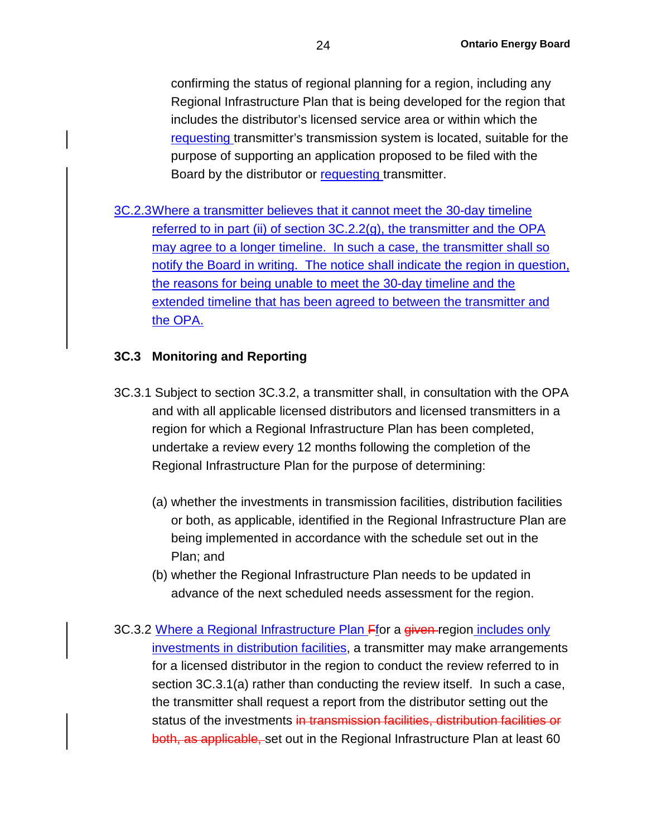confirming the status of regional planning for a region, including any Regional Infrastructure Plan that is being developed for the region that includes the distributor's licensed service area or within which the requesting transmitter's transmission system is located, suitable for the purpose of supporting an application proposed to be filed with the Board by the distributor or requesting transmitter.

3C.2.3Where a transmitter believes that it cannot meet the 30-day timeline referred to in part (ii) of section 3C.2.2(g), the transmitter and the OPA may agree to a longer timeline. In such a case, the transmitter shall so notify the Board in writing. The notice shall indicate the region in question, the reasons for being unable to meet the 30-day timeline and the extended timeline that has been agreed to between the transmitter and the OPA.

## **3C.3 Monitoring and Reporting**

- 3C.3.1 Subject to section 3C.3.2, a transmitter shall, in consultation with the OPA and with all applicable licensed distributors and licensed transmitters in a region for which a Regional Infrastructure Plan has been completed, undertake a review every 12 months following the completion of the Regional Infrastructure Plan for the purpose of determining:
	- (a) whether the investments in transmission facilities, distribution facilities or both, as applicable, identified in the Regional Infrastructure Plan are being implemented in accordance with the schedule set out in the Plan; and
	- (b) whether the Regional Infrastructure Plan needs to be updated in advance of the next scheduled needs assessment for the region.
- 3C.3.2 Where a Regional Infrastructure Plan Ffor a given region includes only investments in distribution facilities, a transmitter may make arrangements for a licensed distributor in the region to conduct the review referred to in section 3C.3.1(a) rather than conducting the review itself. In such a case, the transmitter shall request a report from the distributor setting out the status of the investments in transmission facilities, distribution facilities or both, as applicable, set out in the Regional Infrastructure Plan at least 60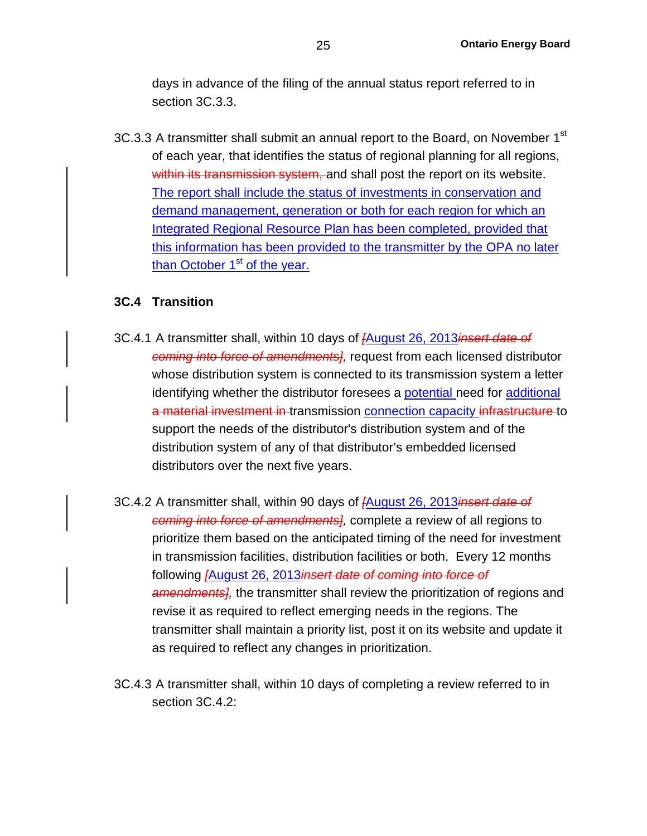days in advance of the filing of the annual status report referred to in section 3C.3.3.

3C.3.3 A transmitter shall submit an annual report to the Board, on November 1<sup>st</sup> of each year, that identifies the status of regional planning for all regions, within its transmission system, and shall post the report on its website. The report shall include the status of investments in conservation and demand management, generation or both for each region for which an Integrated Regional Resource Plan has been completed, provided that this information has been provided to the transmitter by the OPA no later than October  $1<sup>st</sup>$  of the year.

#### **3C.4 Transition**

- 3C.4.1 A transmitter shall, within 10 days of *[*August 26, 2013*insert date of coming into force of amendments],* request from each licensed distributor whose distribution system is connected to its transmission system a letter identifying whether the distributor foresees a potential need for additional a material investment in transmission connection capacity infrastructure to support the needs of the distributor's distribution system and of the distribution system of any of that distributor's embedded licensed distributors over the next five years.
- 3C.4.2 A transmitter shall, within 90 days of *[*August 26, 2013*insert date of coming into force of amendments],* complete a review of all regions to prioritize them based on the anticipated timing of the need for investment in transmission facilities, distribution facilities or both. Every 12 months following *[*August 26, 2013*insert date of coming into force of amendments],* the transmitter shall review the prioritization of regions and revise it as required to reflect emerging needs in the regions. The transmitter shall maintain a priority list, post it on its website and update it as required to reflect any changes in prioritization.
- 3C.4.3 A transmitter shall, within 10 days of completing a review referred to in section 3C.4.2: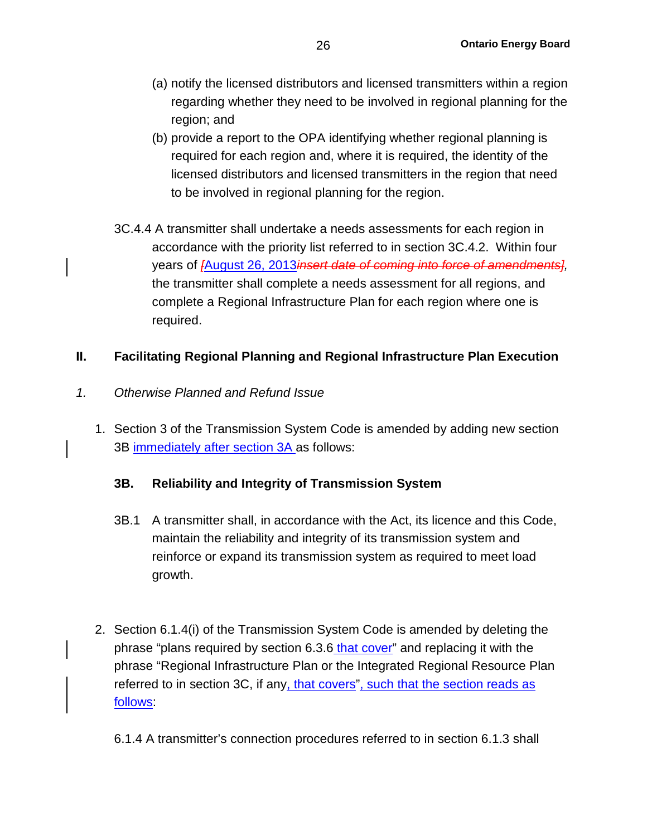- (a) notify the licensed distributors and licensed transmitters within a region regarding whether they need to be involved in regional planning for the region; and
- (b) provide a report to the OPA identifying whether regional planning is required for each region and, where it is required, the identity of the licensed distributors and licensed transmitters in the region that need to be involved in regional planning for the region.
- 3C.4.4 A transmitter shall undertake a needs assessments for each region in accordance with the priority list referred to in section 3C.4.2. Within four years of *[*August 26, 2013*insert date of coming into force of amendments],* the transmitter shall complete a needs assessment for all regions, and complete a Regional Infrastructure Plan for each region where one is required.

### **II. Facilitating Regional Planning and Regional Infrastructure Plan Execution**

- *1. Otherwise Planned and Refund Issue*
	- 1. Section 3 of the Transmission System Code is amended by adding new section 3B immediately after section 3A as follows:

#### **3B. Reliability and Integrity of Transmission System**

- 3B.1 A transmitter shall, in accordance with the Act, its licence and this Code, maintain the reliability and integrity of its transmission system and reinforce or expand its transmission system as required to meet load growth.
- 2. Section 6.1.4(i) of the Transmission System Code is amended by deleting the phrase "plans required by section 6.3.6 that cover" and replacing it with the phrase "Regional Infrastructure Plan or the Integrated Regional Resource Plan referred to in section 3C, if any, that covers", such that the section reads as follows:
	- 6.1.4 A transmitter's connection procedures referred to in section 6.1.3 shall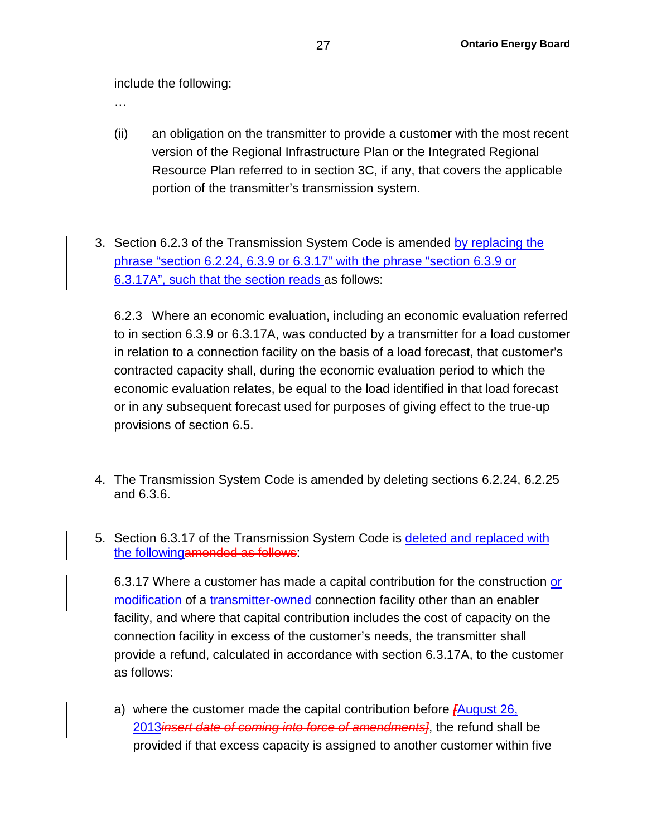include the following:

…

- (ii) an obligation on the transmitter to provide a customer with the most recent version of the Regional Infrastructure Plan or the Integrated Regional Resource Plan referred to in section 3C, if any, that covers the applicable portion of the transmitter's transmission system.
- 3. Section 6.2.3 of the Transmission System Code is amended by replacing the phrase "section 6.2.24, 6.3.9 or 6.3.17" with the phrase "section 6.3.9 or 6.3.17A", such that the section reads as follows:

6.2.3 Where an economic evaluation, including an economic evaluation referred to in section 6.3.9 or 6.3.17A, was conducted by a transmitter for a load customer in relation to a connection facility on the basis of a load forecast, that customer's contracted capacity shall, during the economic evaluation period to which the economic evaluation relates, be equal to the load identified in that load forecast or in any subsequent forecast used for purposes of giving effect to the true-up provisions of section 6.5.

- 4. The Transmission System Code is amended by deleting sections 6.2.24, 6.2.25 and 6.3.6.
- 5. Section 6.3.17 of the Transmission System Code is deleted and replaced with the followingamended as follows:

6.3.17 Where a customer has made a capital contribution for the construction or modification of a transmitter-owned connection facility other than an enabler facility, and where that capital contribution includes the cost of capacity on the connection facility in excess of the customer's needs, the transmitter shall provide a refund, calculated in accordance with section 6.3.17A, to the customer as follows:

a) where the customer made the capital contribution before *[*August 26, 2013*insert date of coming into force of amendments]*, the refund shall be provided if that excess capacity is assigned to another customer within five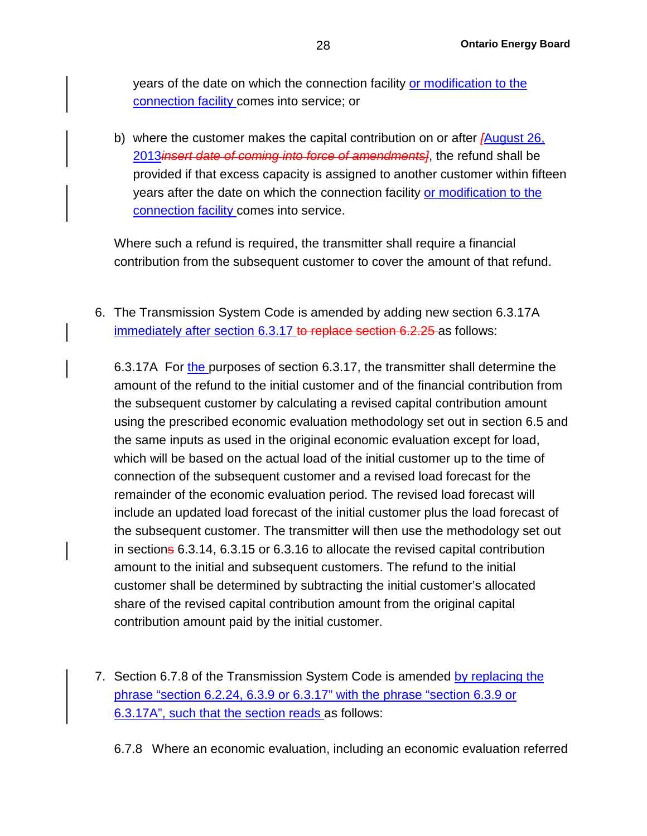years of the date on which the connection facility or modification to the connection facility comes into service; or

b) where the customer makes the capital contribution on or after *[*August 26, 2013*insert date of coming into force of amendments]*, the refund shall be provided if that excess capacity is assigned to another customer within fifteen years after the date on which the connection facility or modification to the connection facility comes into service.

Where such a refund is required, the transmitter shall require a financial contribution from the subsequent customer to cover the amount of that refund.

6. The Transmission System Code is amended by adding new section 6.3.17A immediately after section 6.3.17 to replace section 6.2.25 as follows:

6.3.17A For the purposes of section 6.3.17, the transmitter shall determine the amount of the refund to the initial customer and of the financial contribution from the subsequent customer by calculating a revised capital contribution amount using the prescribed economic evaluation methodology set out in section 6.5 and the same inputs as used in the original economic evaluation except for load, which will be based on the actual load of the initial customer up to the time of connection of the subsequent customer and a revised load forecast for the remainder of the economic evaluation period. The revised load forecast will include an updated load forecast of the initial customer plus the load forecast of the subsequent customer. The transmitter will then use the methodology set out in sections 6.3.14, 6.3.15 or 6.3.16 to allocate the revised capital contribution amount to the initial and subsequent customers. The refund to the initial customer shall be determined by subtracting the initial customer's allocated share of the revised capital contribution amount from the original capital contribution amount paid by the initial customer.

7. Section 6.7.8 of the Transmission System Code is amended by replacing the phrase "section 6.2.24, 6.3.9 or 6.3.17" with the phrase "section 6.3.9 or 6.3.17A", such that the section reads as follows:

6.7.8 Where an economic evaluation, including an economic evaluation referred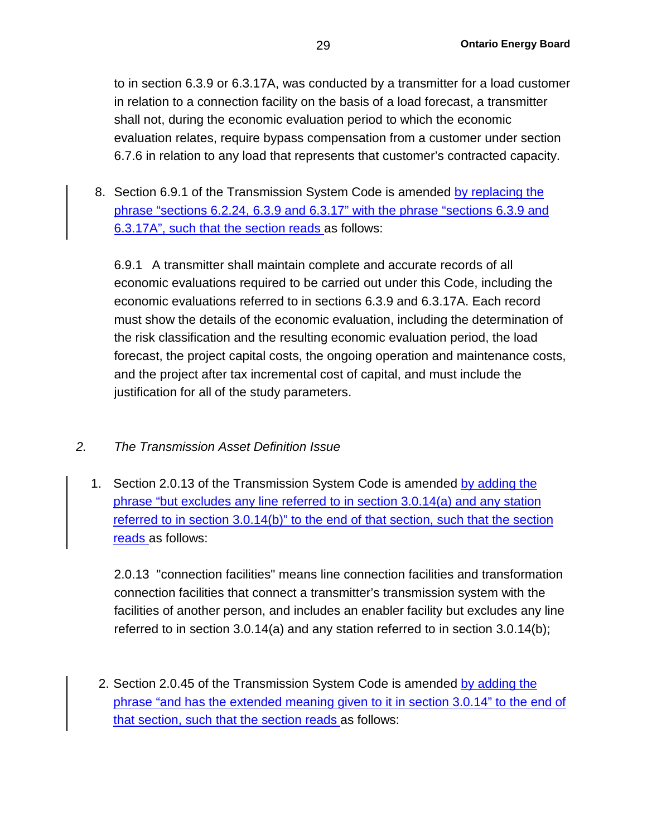to in section 6.3.9 or 6.3.17A, was conducted by a transmitter for a load customer in relation to a connection facility on the basis of a load forecast, a transmitter shall not, during the economic evaluation period to which the economic evaluation relates, require bypass compensation from a customer under section 6.7.6 in relation to any load that represents that customer's contracted capacity.

8. Section 6.9.1 of the Transmission System Code is amended by replacing the phrase "sections 6.2.24, 6.3.9 and 6.3.17" with the phrase "sections 6.3.9 and 6.3.17A", such that the section reads as follows:

6.9.1 A transmitter shall maintain complete and accurate records of all economic evaluations required to be carried out under this Code, including the economic evaluations referred to in sections 6.3.9 and 6.3.17A. Each record must show the details of the economic evaluation, including the determination of the risk classification and the resulting economic evaluation period, the load forecast, the project capital costs, the ongoing operation and maintenance costs, and the project after tax incremental cost of capital, and must include the justification for all of the study parameters.

## *2. The Transmission Asset Definition Issue*

1. Section 2.0.13 of the Transmission System Code is amended by adding the phrase "but excludes any line referred to in section 3.0.14(a) and any station referred to in section 3.0.14(b)" to the end of that section, such that the section reads as follows:

2.0.13 "connection facilities" means line connection facilities and transformation connection facilities that connect a transmitter's transmission system with the facilities of another person, and includes an enabler facility but excludes any line referred to in section 3.0.14(a) and any station referred to in section 3.0.14(b);

2. Section 2.0.45 of the Transmission System Code is amended by adding the phrase "and has the extended meaning given to it in section 3.0.14" to the end of that section, such that the section reads as follows: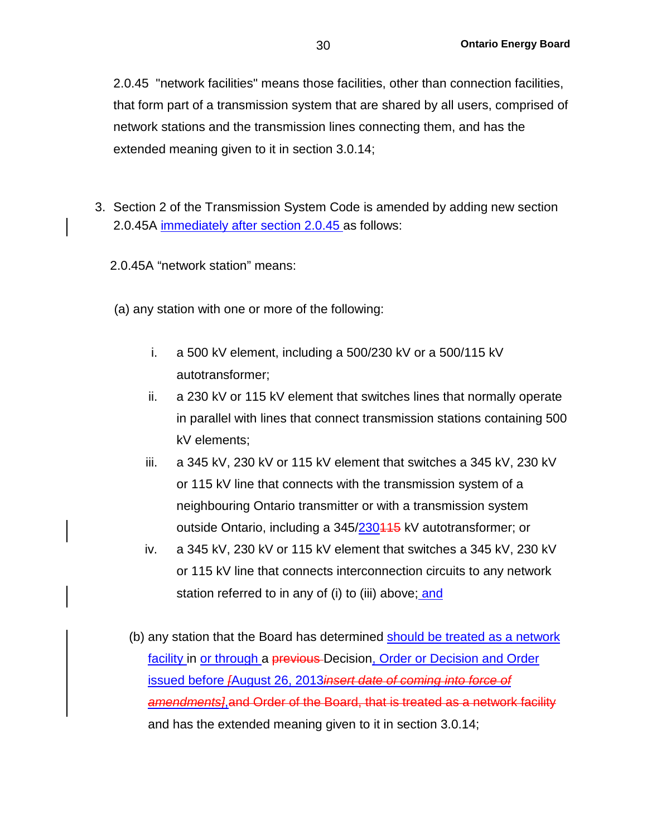2.0.45 "network facilities" means those facilities, other than connection facilities, that form part of a transmission system that are shared by all users, comprised of network stations and the transmission lines connecting them, and has the extended meaning given to it in section 3.0.14;

- 3. Section 2 of the Transmission System Code is amended by adding new section 2.0.45A immediately after section 2.0.45 as follows:
	- 2.0.45A "network station" means:
	- (a) any station with one or more of the following:
		- i. a 500 kV element, including a 500/230 kV or a 500/115 kV autotransformer;
		- ii. a 230 kV or 115 kV element that switches lines that normally operate in parallel with lines that connect transmission stations containing 500 kV elements;
		- iii. a 345 kV, 230 kV or 115 kV element that switches a 345 kV, 230 kV or 115 kV line that connects with the transmission system of a neighbouring Ontario transmitter or with a transmission system outside Ontario, including a 345/230415 kV autotransformer; or
		- iv. a 345 kV, 230 kV or 115 kV element that switches a 345 kV, 230 kV or 115 kV line that connects interconnection circuits to any network station referred to in any of (i) to (iii) above; and
		- (b) any station that the Board has determined should be treated as a network facility in or through a previous Decision, Order or Decision and Order issued before *[*August 26, 2013*insert date of coming into force of amendments]*,and Order of the Board, that is treated as a network facility and has the extended meaning given to it in section 3.0.14;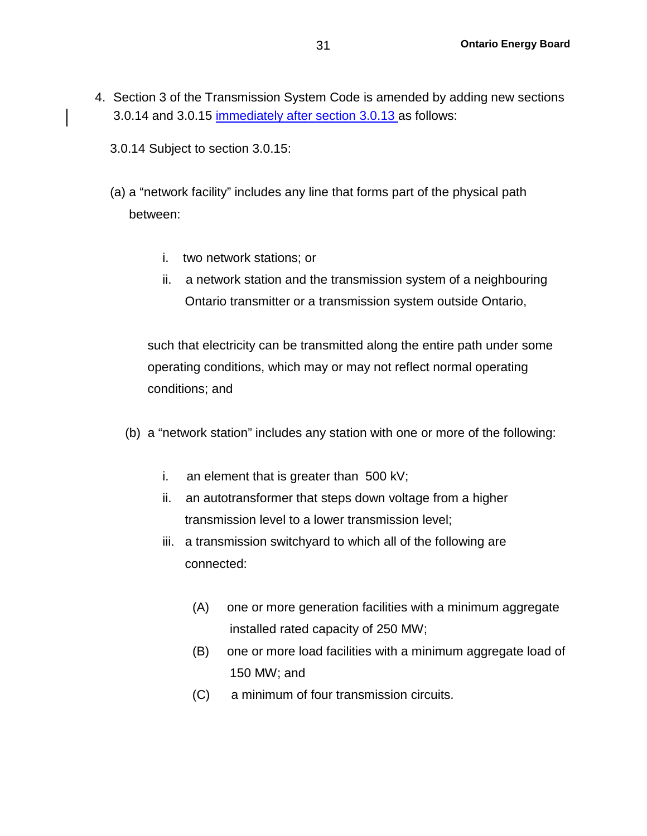- 4. Section 3 of the Transmission System Code is amended by adding new sections 3.0.14 and 3.0.15 immediately after section 3.0.13 as follows:
	- 3.0.14 Subject to section 3.0.15:
	- (a) a "network facility" includes any line that forms part of the physical path between:
		- i. two network stations; or
		- ii. a network station and the transmission system of a neighbouring Ontario transmitter or a transmission system outside Ontario,

such that electricity can be transmitted along the entire path under some operating conditions, which may or may not reflect normal operating conditions; and

- (b) a "network station" includes any station with one or more of the following:
	- i. an element that is greater than 500 kV;
	- ii. an autotransformer that steps down voltage from a higher transmission level to a lower transmission level;
	- iii. a transmission switchyard to which all of the following are connected:
		- (A) one or more generation facilities with a minimum aggregate installed rated capacity of 250 MW;
		- (B) one or more load facilities with a minimum aggregate load of 150 MW; and
		- (C) a minimum of four transmission circuits.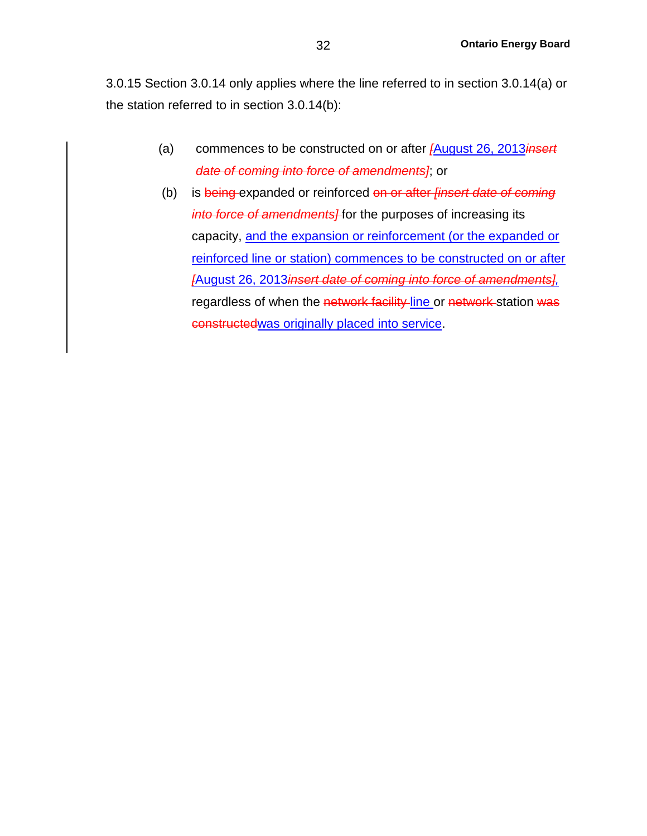3.0.15 Section 3.0.14 only applies where the line referred to in section 3.0.14(a) or the station referred to in section 3.0.14(b):

- (a) commences to be constructed on or after *[*August 26, 2013*insert date of coming into force of amendments]*; or
- (b) is being expanded or reinforced on or after *[insert date of coming into force of amendments]* for the purposes of increasing its capacity, and the expansion or reinforcement (or the expanded or reinforced line or station) commences to be constructed on or after *[*August 26, 2013*insert date of coming into force of amendments],* regardless of when the network facility line or network station was constructedwas originally placed into service.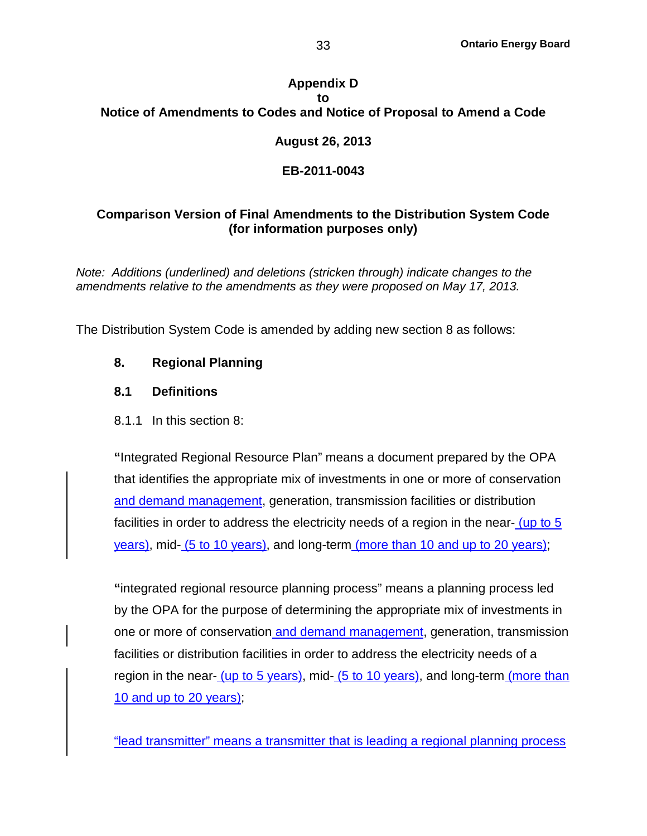## **Appendix D to Notice of Amendments to Codes and Notice of Proposal to Amend a Code**

## **August 26, 2013**

## **EB-2011-0043**

## **Comparison Version of Final Amendments to the Distribution System Code (for information purposes only)**

*Note: Additions (underlined) and deletions (stricken through) indicate changes to the amendments relative to the amendments as they were proposed on May 17, 2013.* 

The Distribution System Code is amended by adding new section 8 as follows:

## **8. Regional Planning**

### **8.1 Definitions**

## 8.1.1 In this section 8:

**"**Integrated Regional Resource Plan" means a document prepared by the OPA that identifies the appropriate mix of investments in one or more of conservation and demand management, generation, transmission facilities or distribution facilities in order to address the electricity needs of a region in the near- (up to 5 years), mid- (5 to 10 years), and long-term (more than 10 and up to 20 years);

**"**integrated regional resource planning process" means a planning process led by the OPA for the purpose of determining the appropriate mix of investments in one or more of conservation and demand management, generation, transmission facilities or distribution facilities in order to address the electricity needs of a region in the near- (up to 5 years), mid- (5 to 10 years), and long-term (more than 10 and up to 20 years);

"lead transmitter" means a transmitter that is leading a regional planning process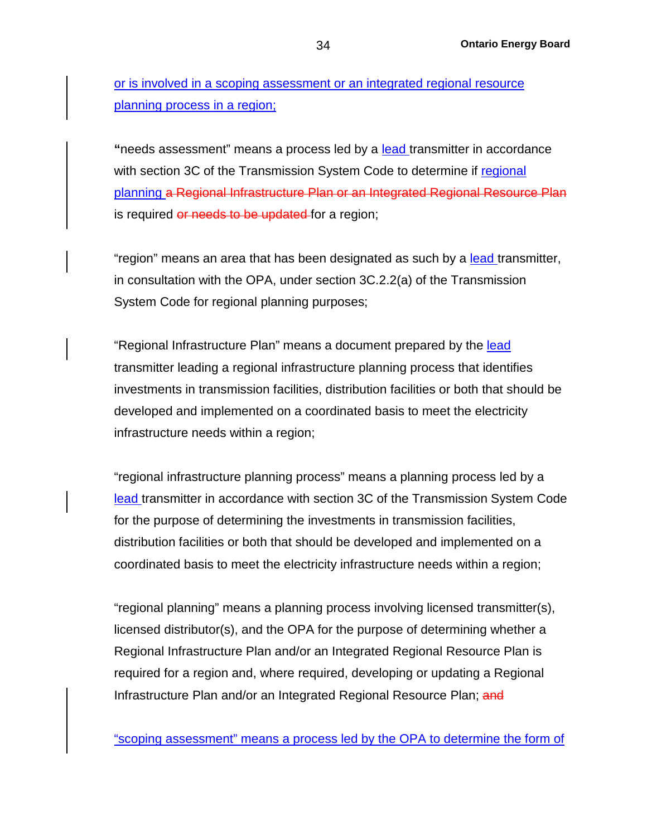or is involved in a scoping assessment or an integrated regional resource planning process in a region;

**"**needs assessment" means a process led by a lead transmitter in accordance with section 3C of the Transmission System Code to determine if regional planning a Regional Infrastructure Plan or an Integrated Regional Resource Plan is required or needs to be updated for a region;

"region" means an area that has been designated as such by a lead transmitter, in consultation with the OPA, under section 3C.2.2(a) of the Transmission System Code for regional planning purposes;

"Regional Infrastructure Plan" means a document prepared by the lead transmitter leading a regional infrastructure planning process that identifies investments in transmission facilities, distribution facilities or both that should be developed and implemented on a coordinated basis to meet the electricity infrastructure needs within a region;

"regional infrastructure planning process" means a planning process led by a lead transmitter in accordance with section 3C of the Transmission System Code for the purpose of determining the investments in transmission facilities, distribution facilities or both that should be developed and implemented on a coordinated basis to meet the electricity infrastructure needs within a region;

"regional planning" means a planning process involving licensed transmitter(s), licensed distributor(s), and the OPA for the purpose of determining whether a Regional Infrastructure Plan and/or an Integrated Regional Resource Plan is required for a region and, where required, developing or updating a Regional Infrastructure Plan and/or an Integrated Regional Resource Plan; and

"scoping assessment" means a process led by the OPA to determine the form of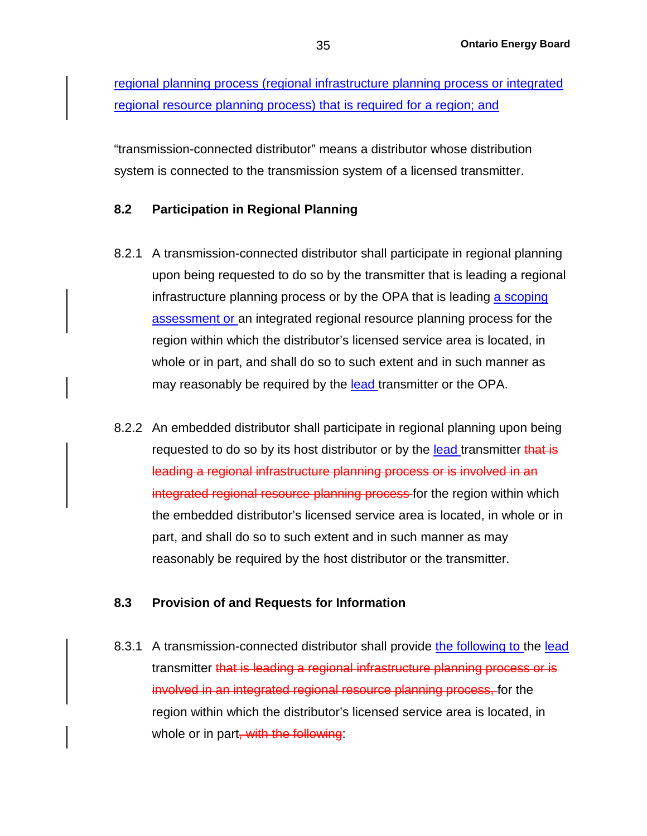regional planning process (regional infrastructure planning process or integrated regional resource planning process) that is required for a region; and

"transmission-connected distributor" means a distributor whose distribution system is connected to the transmission system of a licensed transmitter.

### **8.2 Participation in Regional Planning**

- 8.2.1 A transmission-connected distributor shall participate in regional planning upon being requested to do so by the transmitter that is leading a regional infrastructure planning process or by the OPA that is leading a scoping assessment or an integrated regional resource planning process for the region within which the distributor's licensed service area is located, in whole or in part, and shall do so to such extent and in such manner as may reasonably be required by the lead transmitter or the OPA.
- 8.2.2 An embedded distributor shall participate in regional planning upon being requested to do so by its host distributor or by the lead transmitter that is leading a regional infrastructure planning process or is involved in an integrated regional resource planning process for the region within which the embedded distributor's licensed service area is located, in whole or in part, and shall do so to such extent and in such manner as may reasonably be required by the host distributor or the transmitter.

#### **8.3 Provision of and Requests for Information**

8.3.1 A transmission-connected distributor shall provide the following to the lead transmitter that is leading a regional infrastructure planning process or is involved in an integrated regional resource planning process, for the region within which the distributor's licensed service area is located, in whole or in part, with the following: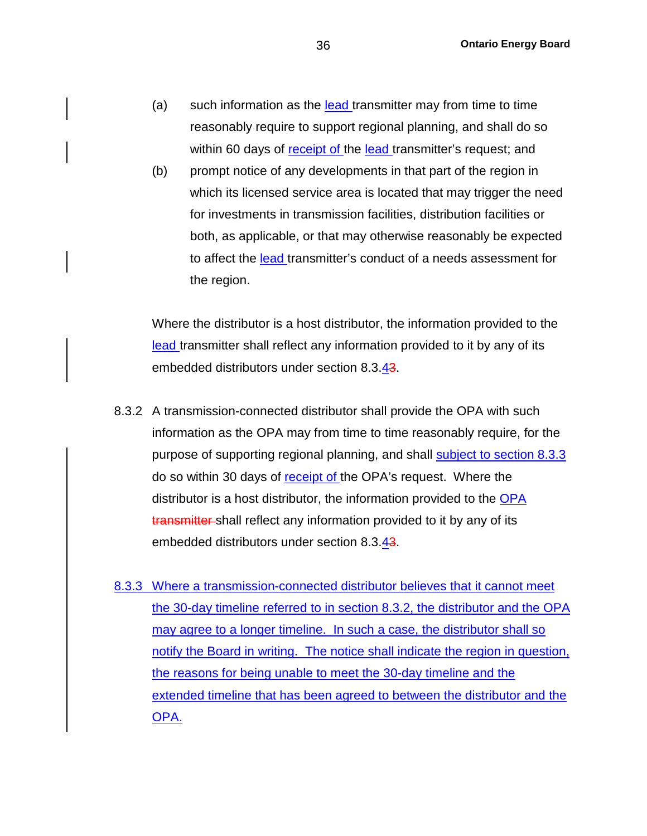- (a) such information as the lead transmitter may from time to time reasonably require to support regional planning, and shall do so within 60 days of receipt of the lead transmitter's request; and
- (b) prompt notice of any developments in that part of the region in which its licensed service area is located that may trigger the need for investments in transmission facilities, distribution facilities or both, as applicable, or that may otherwise reasonably be expected to affect the lead transmitter's conduct of a needs assessment for the region.

Where the distributor is a host distributor, the information provided to the lead transmitter shall reflect any information provided to it by any of its embedded distributors under section 8.3.43.

- 8.3.2 A transmission-connected distributor shall provide the OPA with such information as the OPA may from time to time reasonably require, for the purpose of supporting regional planning, and shall subject to section 8.3.3 do so within 30 days of receipt of the OPA's request. Where the distributor is a host distributor, the information provided to the OPA transmitter shall reflect any information provided to it by any of its embedded distributors under section 8.3.43.
- 8.3.3 Where a transmission-connected distributor believes that it cannot meet the 30-day timeline referred to in section 8.3.2, the distributor and the OPA may agree to a longer timeline. In such a case, the distributor shall so notify the Board in writing. The notice shall indicate the region in question, the reasons for being unable to meet the 30-day timeline and the extended timeline that has been agreed to between the distributor and the OPA.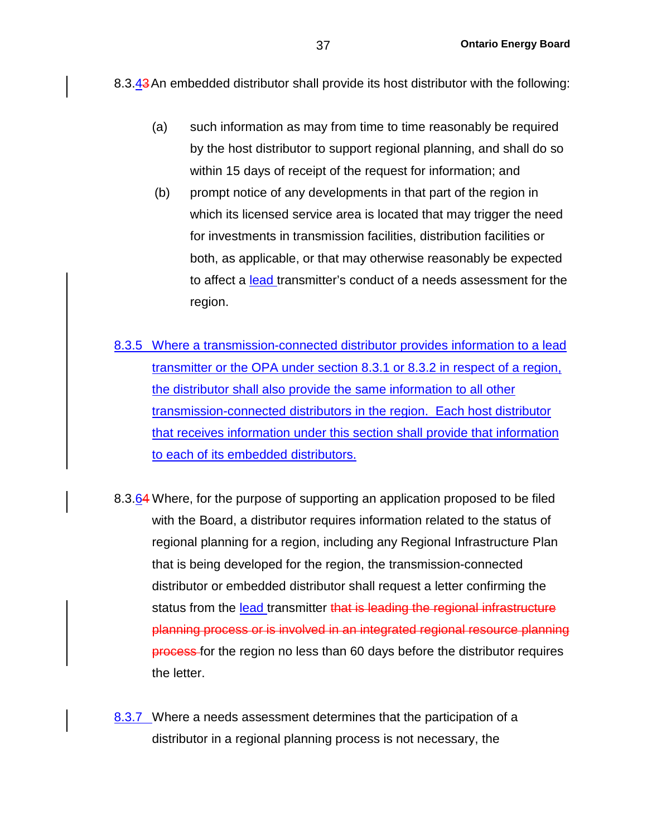8.3.43 An embedded distributor shall provide its host distributor with the following:

- (a) such information as may from time to time reasonably be required by the host distributor to support regional planning, and shall do so within 15 days of receipt of the request for information; and
- (b) prompt notice of any developments in that part of the region in which its licensed service area is located that may trigger the need for investments in transmission facilities, distribution facilities or both, as applicable, or that may otherwise reasonably be expected to affect a lead transmitter's conduct of a needs assessment for the region.
- 8.3.5 Where a transmission-connected distributor provides information to a lead transmitter or the OPA under section 8.3.1 or 8.3.2 in respect of a region, the distributor shall also provide the same information to all other transmission-connected distributors in the region. Each host distributor that receives information under this section shall provide that information to each of its embedded distributors.
- 8.3.64 Where, for the purpose of supporting an application proposed to be filed with the Board, a distributor requires information related to the status of regional planning for a region, including any Regional Infrastructure Plan that is being developed for the region, the transmission-connected distributor or embedded distributor shall request a letter confirming the status from the lead transmitter that is leading the regional infrastructure planning process or is involved in an integrated regional resource planning process for the region no less than 60 days before the distributor requires the letter.
- 8.3.7 Where a needs assessment determines that the participation of a distributor in a regional planning process is not necessary, the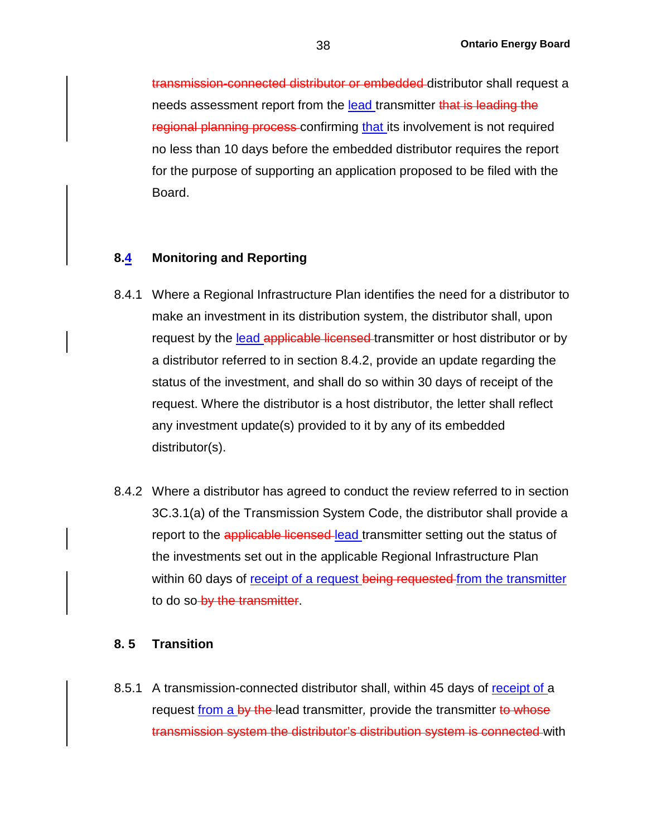transmission-connected distributor or embedded distributor shall request a needs assessment report from the lead transmitter that is leading the regional planning process confirming that its involvement is not required no less than 10 days before the embedded distributor requires the report for the purpose of supporting an application proposed to be filed with the Board.

#### **8.4 Monitoring and Reporting**

- 8.4.1 Where a Regional Infrastructure Plan identifies the need for a distributor to make an investment in its distribution system, the distributor shall, upon request by the lead applicable licensed transmitter or host distributor or by a distributor referred to in section 8.4.2, provide an update regarding the status of the investment, and shall do so within 30 days of receipt of the request. Where the distributor is a host distributor, the letter shall reflect any investment update(s) provided to it by any of its embedded distributor(s).
- 8.4.2 Where a distributor has agreed to conduct the review referred to in section 3C.3.1(a) of the Transmission System Code, the distributor shall provide a report to the applicable licensed-lead transmitter setting out the status of the investments set out in the applicable Regional Infrastructure Plan within 60 days of receipt of a request being requested from the transmitter to do so by the transmitter.

#### **8. 5 Transition**

8.5.1 A transmission-connected distributor shall, within 45 days of receipt of a request from a by the lead transmitter, provide the transmitter to whose transmission system the distributor's distribution system is connected with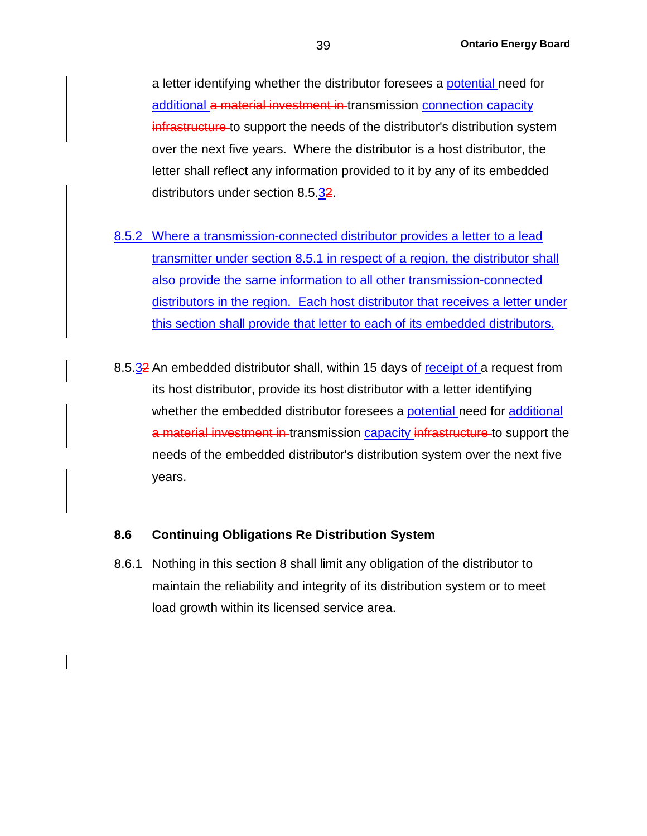a letter identifying whether the distributor foresees a potential need for additional a material investment in transmission connection capacity infrastructure to support the needs of the distributor's distribution system over the next five years. Where the distributor is a host distributor, the letter shall reflect any information provided to it by any of its embedded distributors under section 8.5.32.

- 8.5.2 Where a transmission-connected distributor provides a letter to a lead transmitter under section 8.5.1 in respect of a region, the distributor shall also provide the same information to all other transmission-connected distributors in the region. Each host distributor that receives a letter under this section shall provide that letter to each of its embedded distributors.
- 8.5.32 An embedded distributor shall, within 15 days of receipt of a request from its host distributor, provide its host distributor with a letter identifying whether the embedded distributor foresees a potential need for additional a material investment in transmission capacity infrastructure to support the needs of the embedded distributor's distribution system over the next five years.

#### **8.6 Continuing Obligations Re Distribution System**

8.6.1 Nothing in this section 8 shall limit any obligation of the distributor to maintain the reliability and integrity of its distribution system or to meet load growth within its licensed service area.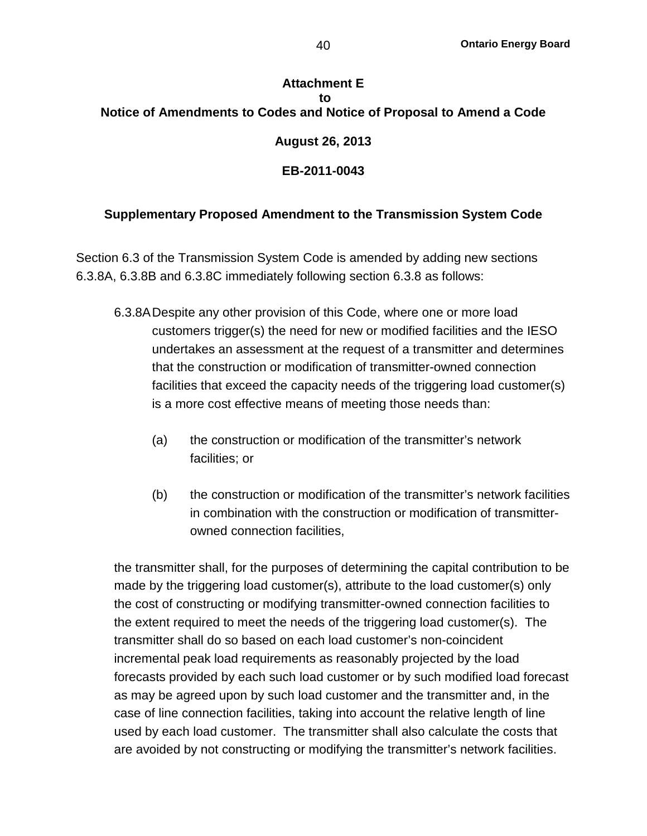# **Attachment E to Notice of Amendments to Codes and Notice of Proposal to Amend a Code August 26, 2013 EB-2011-0043**

## **Supplementary Proposed Amendment to the Transmission System Code**

Section 6.3 of the Transmission System Code is amended by adding new sections 6.3.8A, 6.3.8B and 6.3.8C immediately following section 6.3.8 as follows:

- 6.3.8ADespite any other provision of this Code, where one or more load customers trigger(s) the need for new or modified facilities and the IESO undertakes an assessment at the request of a transmitter and determines that the construction or modification of transmitter-owned connection facilities that exceed the capacity needs of the triggering load customer(s) is a more cost effective means of meeting those needs than:
	- (a) the construction or modification of the transmitter's network facilities; or
	- (b) the construction or modification of the transmitter's network facilities in combination with the construction or modification of transmitterowned connection facilities,

the transmitter shall, for the purposes of determining the capital contribution to be made by the triggering load customer(s), attribute to the load customer(s) only the cost of constructing or modifying transmitter-owned connection facilities to the extent required to meet the needs of the triggering load customer(s). The transmitter shall do so based on each load customer's non-coincident incremental peak load requirements as reasonably projected by the load forecasts provided by each such load customer or by such modified load forecast as may be agreed upon by such load customer and the transmitter and, in the case of line connection facilities, taking into account the relative length of line used by each load customer. The transmitter shall also calculate the costs that are avoided by not constructing or modifying the transmitter's network facilities.